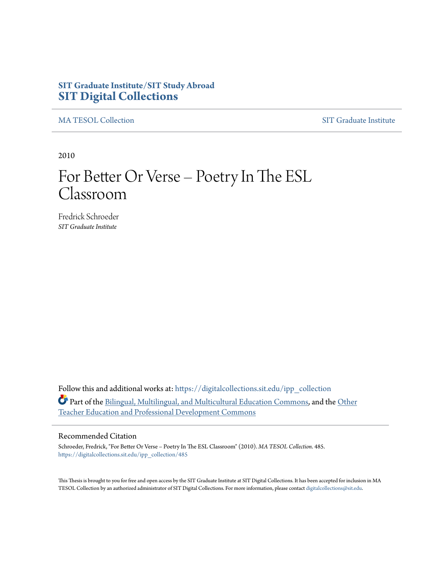# **SIT Graduate Institute/SIT Study Abroad [SIT Digital Collections](https://digitalcollections.sit.edu?utm_source=digitalcollections.sit.edu%2Fipp_collection%2F485&utm_medium=PDF&utm_campaign=PDFCoverPages)**

[MA TESOL Collection](https://digitalcollections.sit.edu/ipp_collection?utm_source=digitalcollections.sit.edu%2Fipp_collection%2F485&utm_medium=PDF&utm_campaign=PDFCoverPages) [SIT Graduate Institute](https://digitalcollections.sit.edu/graduate_institute?utm_source=digitalcollections.sit.edu%2Fipp_collection%2F485&utm_medium=PDF&utm_campaign=PDFCoverPages)

2010

# For Better Or Verse – Poetry In The ESL Classroom

Fredrick Schroeder *SIT Graduate Institute*

Follow this and additional works at: [https://digitalcollections.sit.edu/ipp\\_collection](https://digitalcollections.sit.edu/ipp_collection?utm_source=digitalcollections.sit.edu%2Fipp_collection%2F485&utm_medium=PDF&utm_campaign=PDFCoverPages) Part of the [Bilingual, Multilingual, and Multicultural Education Commons](http://network.bepress.com/hgg/discipline/785?utm_source=digitalcollections.sit.edu%2Fipp_collection%2F485&utm_medium=PDF&utm_campaign=PDFCoverPages), and the [Other](http://network.bepress.com/hgg/discipline/810?utm_source=digitalcollections.sit.edu%2Fipp_collection%2F485&utm_medium=PDF&utm_campaign=PDFCoverPages) [Teacher Education and Professional Development Commons](http://network.bepress.com/hgg/discipline/810?utm_source=digitalcollections.sit.edu%2Fipp_collection%2F485&utm_medium=PDF&utm_campaign=PDFCoverPages)

#### Recommended Citation

Schroeder, Fredrick, "For Better Or Verse – Poetry In The ESL Classroom" (2010). *MA TESOL Collection*. 485. [https://digitalcollections.sit.edu/ipp\\_collection/485](https://digitalcollections.sit.edu/ipp_collection/485?utm_source=digitalcollections.sit.edu%2Fipp_collection%2F485&utm_medium=PDF&utm_campaign=PDFCoverPages)

This Thesis is brought to you for free and open access by the SIT Graduate Institute at SIT Digital Collections. It has been accepted for inclusion in MA TESOL Collection by an authorized administrator of SIT Digital Collections. For more information, please contact [digitalcollections@sit.edu.](mailto:digitalcollections@sit.edu)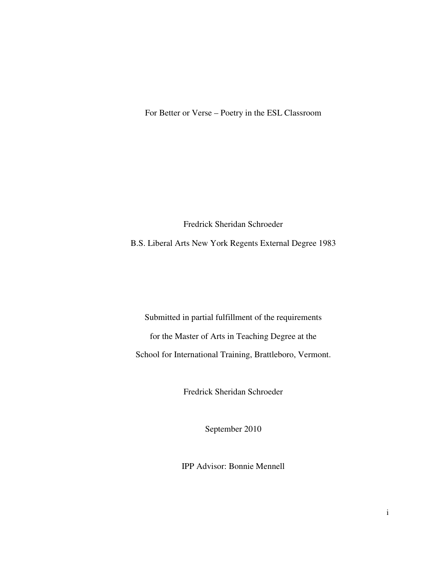For Better or Verse – Poetry in the ESL Classroom

Fredrick Sheridan Schroeder

B.S. Liberal Arts New York Regents External Degree 1983

Submitted in partial fulfillment of the requirements for the Master of Arts in Teaching Degree at the School for International Training, Brattleboro, Vermont.

Fredrick Sheridan Schroeder

September 2010

IPP Advisor: Bonnie Mennell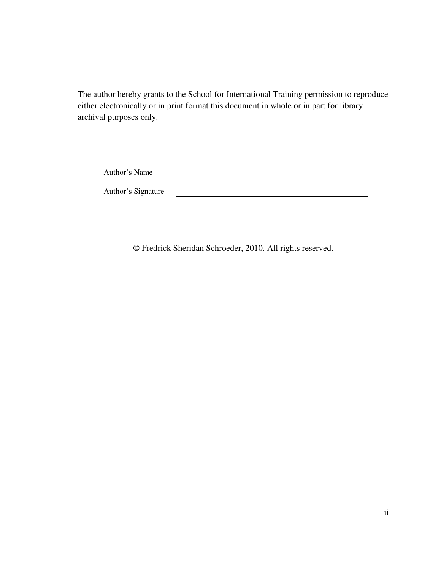The author hereby grants to the School for International Training permission to reproduce either electronically or in print format this document in whole or in part for library archival purposes only.

Author's Name

Author's Signature

© Fredrick Sheridan Schroeder, 2010. All rights reserved.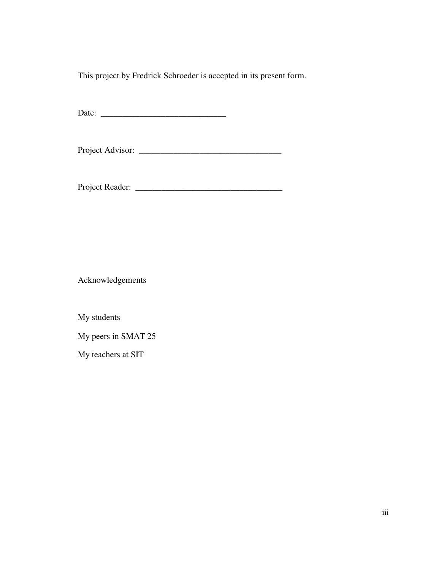This project by Fredrick Schroeder is accepted in its present form.

Date: \_\_\_\_\_\_\_\_\_\_\_\_\_\_\_\_\_\_\_\_\_\_\_\_\_\_\_\_\_

Project Advisor: \_\_\_\_\_\_\_\_\_\_\_\_\_\_\_\_\_\_\_\_\_\_\_\_\_\_\_\_\_\_\_\_\_

Project Reader: \_\_\_\_\_\_\_\_\_\_\_\_\_\_\_\_\_\_\_\_\_\_\_\_\_\_\_\_\_\_\_\_\_\_

Acknowledgements

My students

My peers in SMAT 25

My teachers at SIT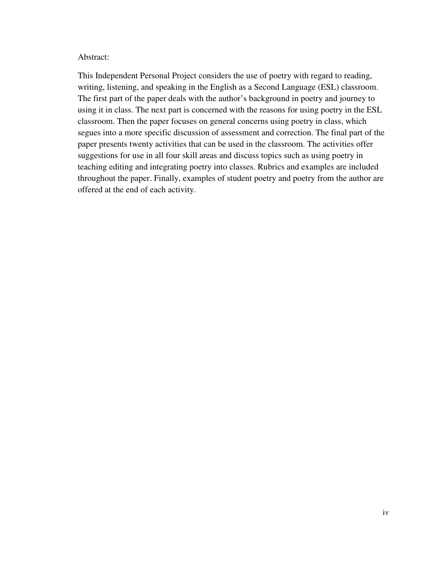#### Abstract:

This Independent Personal Project considers the use of poetry with regard to reading, writing, listening, and speaking in the English as a Second Language (ESL) classroom. The first part of the paper deals with the author's background in poetry and journey to using it in class. The next part is concerned with the reasons for using poetry in the ESL classroom. Then the paper focuses on general concerns using poetry in class, which segues into a more specific discussion of assessment and correction. The final part of the paper presents twenty activities that can be used in the classroom. The activities offer suggestions for use in all four skill areas and discuss topics such as using poetry in teaching editing and integrating poetry into classes. Rubrics and examples are included throughout the paper. Finally, examples of student poetry and poetry from the author are offered at the end of each activity.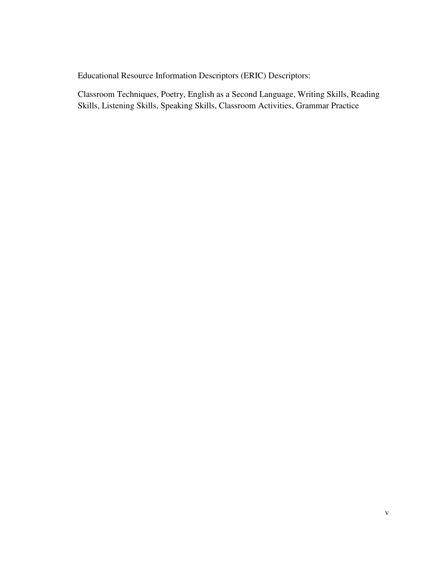Educational Resource Information Descriptors (ERIC) Descriptors:

Classroom Techniques, Poetry, English as a Second Language, Writing Skills, Reading Skills, Listening Skills, Speaking Skills, Classroom Activities, Grammar Practice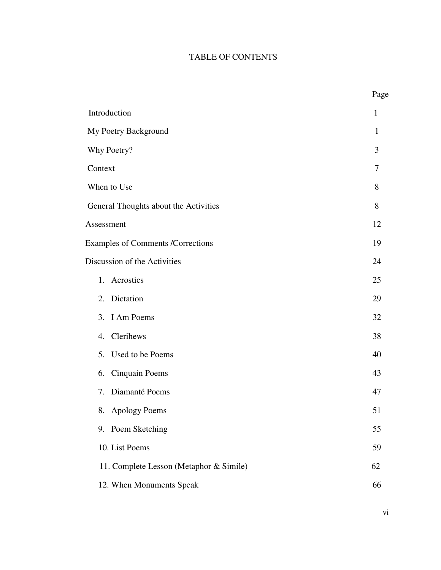# TABLE OF CONTENTS

|                                          | Page  |
|------------------------------------------|-------|
| Introduction                             | 1     |
| My Poetry Background                     | 1     |
| Why Poetry?                              | 3     |
| Context                                  | 7     |
| When to Use                              | 8     |
| General Thoughts about the Activities    | $8\,$ |
| Assessment                               | 12    |
| <b>Examples of Comments /Corrections</b> | 19    |
| Discussion of the Activities             | 24    |
| 1. Acrostics                             | 25    |
| 2. Dictation                             | 29    |
| 3. I Am Poems                            | 32    |
| 4. Clerihews                             | 38    |
| 5. Used to be Poems                      | 40    |
| <b>Cinquain Poems</b><br>6.              | 43    |
| Diamanté Poems<br>7.                     | 47    |
| 8. Apology Poems                         | 51    |
| 9. Poem Sketching                        | 55    |
| 10. List Poems                           | 59    |
| 11. Complete Lesson (Metaphor & Simile)  | 62    |
| 12. When Monuments Speak                 | 66    |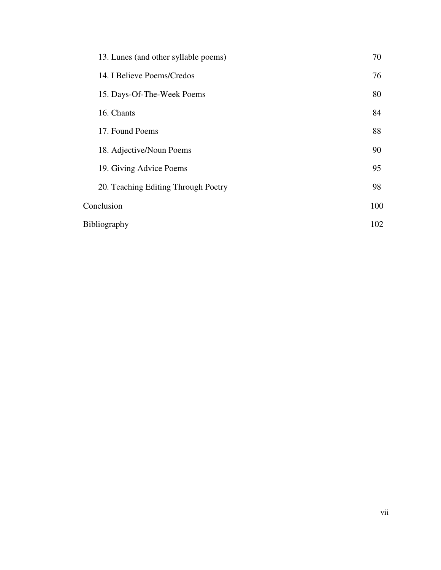| 13. Lunes (and other syllable poems) | 70  |
|--------------------------------------|-----|
| 14. I Believe Poems/Credos           | 76  |
| 15. Days-Of-The-Week Poems           | 80  |
| 16. Chants                           | 84  |
| 17. Found Poems                      | 88  |
| 18. Adjective/Noun Poems             | 90  |
| 19. Giving Advice Poems              | 95  |
| 20. Teaching Editing Through Poetry  | 98  |
| Conclusion                           | 100 |
| <b>Bibliography</b>                  | 102 |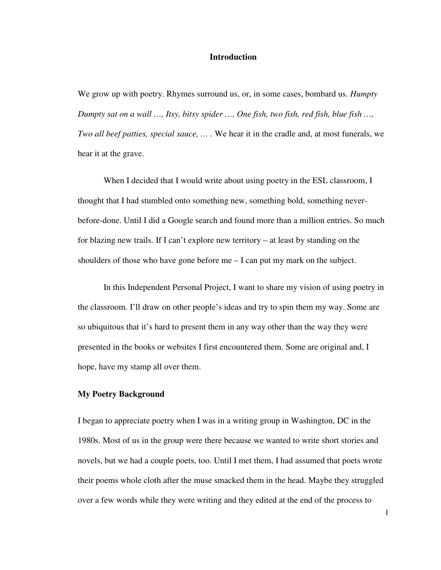#### **Introduction**

We grow up with poetry. Rhymes surround us, or, in some cases, bombard us. *Humpty Dumpty sat on a wall …, Itsy, bitsy spider …, One fish, two fish, red fish, blue fish …, Two all beef patties, special sauce, ...* We hear it in the cradle and, at most funerals, we hear it at the grave.

When I decided that I would write about using poetry in the ESL classroom, I thought that I had stumbled onto something new, something bold, something neverbefore-done. Until I did a Google search and found more than a million entries. So much for blazing new trails. If I can't explore new territory – at least by standing on the shoulders of those who have gone before me  $-I$  can put my mark on the subject.

In this Independent Personal Project, I want to share my vision of using poetry in the classroom. I'll draw on other people's ideas and try to spin them my way. Some are so ubiquitous that it's hard to present them in any way other than the way they were presented in the books or websites I first encountered them. Some are original and, I hope, have my stamp all over them.

#### **My Poetry Background**

I began to appreciate poetry when I was in a writing group in Washington, DC in the 1980s. Most of us in the group were there because we wanted to write short stories and novels, but we had a couple poets, too. Until I met them, I had assumed that poets wrote their poems whole cloth after the muse smacked them in the head. Maybe they struggled over a few words while they were writing and they edited at the end of the process to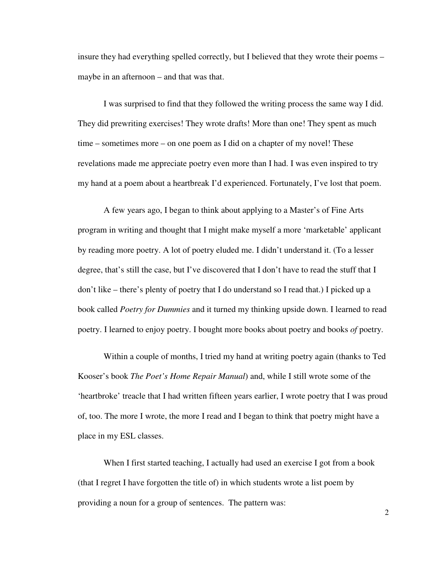insure they had everything spelled correctly, but I believed that they wrote their poems – maybe in an afternoon – and that was that.

 I was surprised to find that they followed the writing process the same way I did. They did prewriting exercises! They wrote drafts! More than one! They spent as much time – sometimes more – on one poem as I did on a chapter of my novel! These revelations made me appreciate poetry even more than I had. I was even inspired to try my hand at a poem about a heartbreak I'd experienced. Fortunately, I've lost that poem.

A few years ago, I began to think about applying to a Master's of Fine Arts program in writing and thought that I might make myself a more 'marketable' applicant by reading more poetry. A lot of poetry eluded me. I didn't understand it. (To a lesser degree, that's still the case, but I've discovered that I don't have to read the stuff that I don't like – there's plenty of poetry that I do understand so I read that.) I picked up a book called *Poetry for Dummies* and it turned my thinking upside down. I learned to read poetry. I learned to enjoy poetry. I bought more books about poetry and books *of* poetry.

Within a couple of months, I tried my hand at writing poetry again (thanks to Ted Kooser's book *The Poet's Home Repair Manual*) and, while I still wrote some of the 'heartbroke' treacle that I had written fifteen years earlier, I wrote poetry that I was proud of, too. The more I wrote, the more I read and I began to think that poetry might have a place in my ESL classes.

When I first started teaching, I actually had used an exercise I got from a book (that I regret I have forgotten the title of) in which students wrote a list poem by providing a noun for a group of sentences. The pattern was: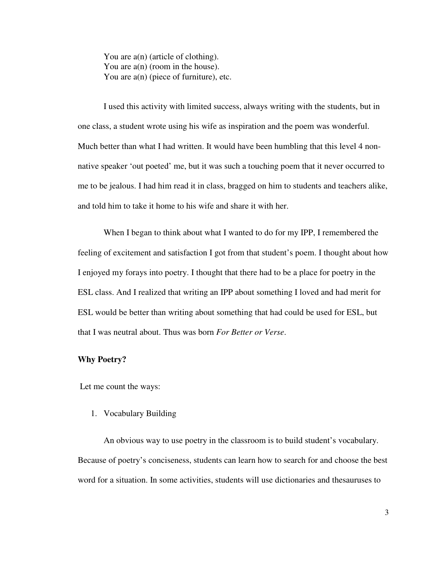You are  $a(n)$  (article of clothing). You are  $a(n)$  (room in the house). You are  $a(n)$  (piece of furniture), etc.

I used this activity with limited success, always writing with the students, but in one class, a student wrote using his wife as inspiration and the poem was wonderful. Much better than what I had written. It would have been humbling that this level 4 nonnative speaker 'out poeted' me, but it was such a touching poem that it never occurred to me to be jealous. I had him read it in class, bragged on him to students and teachers alike, and told him to take it home to his wife and share it with her.

When I began to think about what I wanted to do for my IPP, I remembered the feeling of excitement and satisfaction I got from that student's poem. I thought about how I enjoyed my forays into poetry. I thought that there had to be a place for poetry in the ESL class. And I realized that writing an IPP about something I loved and had merit for ESL would be better than writing about something that had could be used for ESL, but that I was neutral about. Thus was born *For Better or Verse*.

#### **Why Poetry?**

Let me count the ways:

1. Vocabulary Building

 An obvious way to use poetry in the classroom is to build student's vocabulary. Because of poetry's conciseness, students can learn how to search for and choose the best word for a situation. In some activities, students will use dictionaries and thesauruses to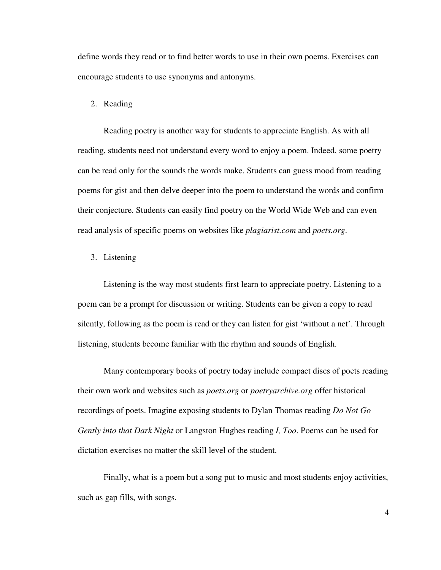define words they read or to find better words to use in their own poems. Exercises can encourage students to use synonyms and antonyms.

2. Reading

 Reading poetry is another way for students to appreciate English. As with all reading, students need not understand every word to enjoy a poem. Indeed, some poetry can be read only for the sounds the words make. Students can guess mood from reading poems for gist and then delve deeper into the poem to understand the words and confirm their conjecture. Students can easily find poetry on the World Wide Web and can even read analysis of specific poems on websites like *plagiarist.com* and *poets.org*.

3. Listening

 Listening is the way most students first learn to appreciate poetry. Listening to a poem can be a prompt for discussion or writing. Students can be given a copy to read silently, following as the poem is read or they can listen for gist 'without a net'. Through listening, students become familiar with the rhythm and sounds of English.

Many contemporary books of poetry today include compact discs of poets reading their own work and websites such as *poets.org* or *poetryarchive.org* offer historical recordings of poets. Imagine exposing students to Dylan Thomas reading *Do Not Go Gently into that Dark Night* or Langston Hughes reading *I, Too*. Poems can be used for dictation exercises no matter the skill level of the student.

Finally, what is a poem but a song put to music and most students enjoy activities, such as gap fills, with songs.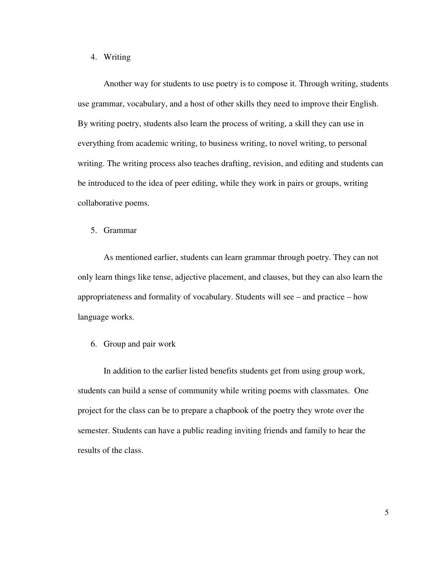### 4. Writing

 Another way for students to use poetry is to compose it. Through writing, students use grammar, vocabulary, and a host of other skills they need to improve their English. By writing poetry, students also learn the process of writing, a skill they can use in everything from academic writing, to business writing, to novel writing, to personal writing. The writing process also teaches drafting, revision, and editing and students can be introduced to the idea of peer editing, while they work in pairs or groups, writing collaborative poems.

#### 5. Grammar

As mentioned earlier, students can learn grammar through poetry. They can not only learn things like tense, adjective placement, and clauses, but they can also learn the appropriateness and formality of vocabulary. Students will see – and practice – how language works.

#### 6. Group and pair work

 In addition to the earlier listed benefits students get from using group work, students can build a sense of community while writing poems with classmates. One project for the class can be to prepare a chapbook of the poetry they wrote over the semester. Students can have a public reading inviting friends and family to hear the results of the class.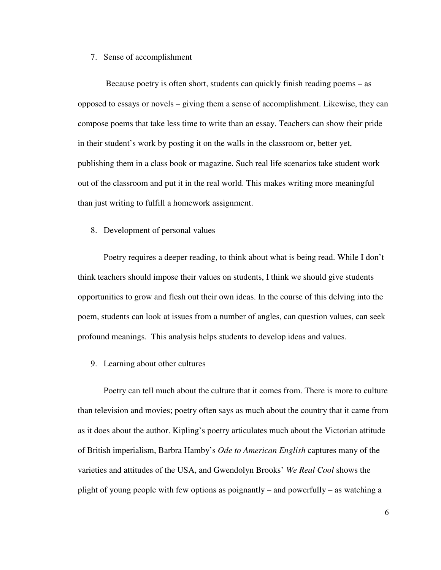#### 7. Sense of accomplishment

 Because poetry is often short, students can quickly finish reading poems – as opposed to essays or novels – giving them a sense of accomplishment. Likewise, they can compose poems that take less time to write than an essay. Teachers can show their pride in their student's work by posting it on the walls in the classroom or, better yet, publishing them in a class book or magazine. Such real life scenarios take student work out of the classroom and put it in the real world. This makes writing more meaningful than just writing to fulfill a homework assignment.

#### 8. Development of personal values

 Poetry requires a deeper reading, to think about what is being read. While I don't think teachers should impose their values on students, I think we should give students opportunities to grow and flesh out their own ideas. In the course of this delving into the poem, students can look at issues from a number of angles, can question values, can seek profound meanings. This analysis helps students to develop ideas and values.

#### 9. Learning about other cultures

 Poetry can tell much about the culture that it comes from. There is more to culture than television and movies; poetry often says as much about the country that it came from as it does about the author. Kipling's poetry articulates much about the Victorian attitude of British imperialism, Barbra Hamby's *Ode to American English* captures many of the varieties and attitudes of the USA, and Gwendolyn Brooks' *We Real Cool* shows the plight of young people with few options as poignantly – and powerfully – as watching a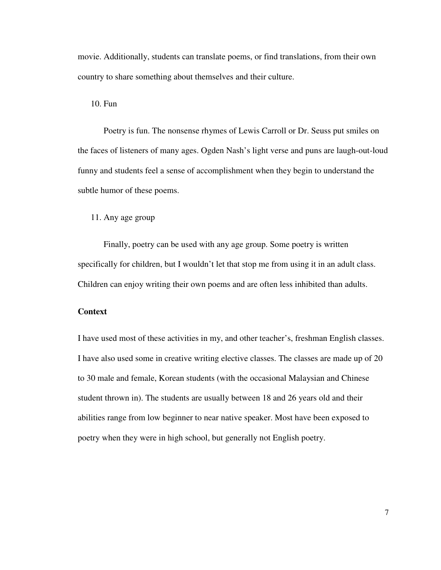movie. Additionally, students can translate poems, or find translations, from their own country to share something about themselves and their culture.

10. Fun

 Poetry is fun. The nonsense rhymes of Lewis Carroll or Dr. Seuss put smiles on the faces of listeners of many ages. Ogden Nash's light verse and puns are laugh-out-loud funny and students feel a sense of accomplishment when they begin to understand the subtle humor of these poems.

11. Any age group

 Finally, poetry can be used with any age group. Some poetry is written specifically for children, but I wouldn't let that stop me from using it in an adult class. Children can enjoy writing their own poems and are often less inhibited than adults.

#### **Context**

I have used most of these activities in my, and other teacher's, freshman English classes. I have also used some in creative writing elective classes. The classes are made up of 20 to 30 male and female, Korean students (with the occasional Malaysian and Chinese student thrown in). The students are usually between 18 and 26 years old and their abilities range from low beginner to near native speaker. Most have been exposed to poetry when they were in high school, but generally not English poetry.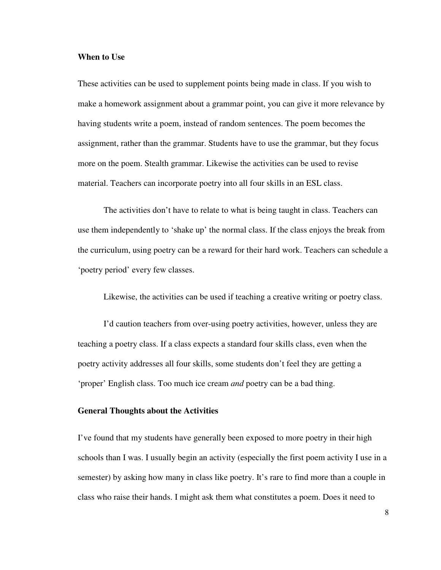#### **When to Use**

These activities can be used to supplement points being made in class. If you wish to make a homework assignment about a grammar point, you can give it more relevance by having students write a poem, instead of random sentences. The poem becomes the assignment, rather than the grammar. Students have to use the grammar, but they focus more on the poem. Stealth grammar. Likewise the activities can be used to revise material. Teachers can incorporate poetry into all four skills in an ESL class.

 The activities don't have to relate to what is being taught in class. Teachers can use them independently to 'shake up' the normal class. If the class enjoys the break from the curriculum, using poetry can be a reward for their hard work. Teachers can schedule a 'poetry period' every few classes.

Likewise, the activities can be used if teaching a creative writing or poetry class.

 I'd caution teachers from over-using poetry activities, however, unless they are teaching a poetry class. If a class expects a standard four skills class, even when the poetry activity addresses all four skills, some students don't feel they are getting a 'proper' English class. Too much ice cream *and* poetry can be a bad thing.

#### **General Thoughts about the Activities**

I've found that my students have generally been exposed to more poetry in their high schools than I was. I usually begin an activity (especially the first poem activity I use in a semester) by asking how many in class like poetry. It's rare to find more than a couple in class who raise their hands. I might ask them what constitutes a poem. Does it need to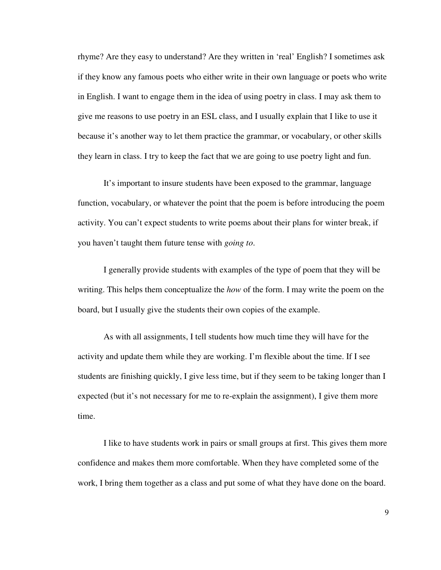rhyme? Are they easy to understand? Are they written in 'real' English? I sometimes ask if they know any famous poets who either write in their own language or poets who write in English. I want to engage them in the idea of using poetry in class. I may ask them to give me reasons to use poetry in an ESL class, and I usually explain that I like to use it because it's another way to let them practice the grammar, or vocabulary, or other skills they learn in class. I try to keep the fact that we are going to use poetry light and fun.

 It's important to insure students have been exposed to the grammar, language function, vocabulary, or whatever the point that the poem is before introducing the poem activity. You can't expect students to write poems about their plans for winter break, if you haven't taught them future tense with *going to*.

 I generally provide students with examples of the type of poem that they will be writing. This helps them conceptualize the *how* of the form. I may write the poem on the board, but I usually give the students their own copies of the example.

 As with all assignments, I tell students how much time they will have for the activity and update them while they are working. I'm flexible about the time. If I see students are finishing quickly, I give less time, but if they seem to be taking longer than I expected (but it's not necessary for me to re-explain the assignment), I give them more time.

 I like to have students work in pairs or small groups at first. This gives them more confidence and makes them more comfortable. When they have completed some of the work, I bring them together as a class and put some of what they have done on the board.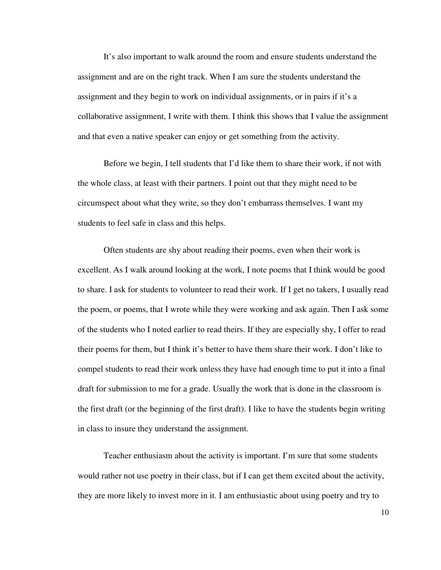It's also important to walk around the room and ensure students understand the assignment and are on the right track. When I am sure the students understand the assignment and they begin to work on individual assignments, or in pairs if it's a collaborative assignment, I write with them. I think this shows that I value the assignment and that even a native speaker can enjoy or get something from the activity.

 Before we begin, I tell students that I'd like them to share their work, if not with the whole class, at least with their partners. I point out that they might need to be circumspect about what they write, so they don't embarrass themselves. I want my students to feel safe in class and this helps.

 Often students are shy about reading their poems, even when their work is excellent. As I walk around looking at the work, I note poems that I think would be good to share. I ask for students to volunteer to read their work. If I get no takers, I usually read the poem, or poems, that I wrote while they were working and ask again. Then I ask some of the students who I noted earlier to read theirs. If they are especially shy, I offer to read their poems for them, but I think it's better to have them share their work. I don't like to compel students to read their work unless they have had enough time to put it into a final draft for submission to me for a grade. Usually the work that is done in the classroom is the first draft (or the beginning of the first draft). I like to have the students begin writing in class to insure they understand the assignment.

 Teacher enthusiasm about the activity is important. I'm sure that some students would rather not use poetry in their class, but if I can get them excited about the activity, they are more likely to invest more in it. I am enthusiastic about using poetry and try to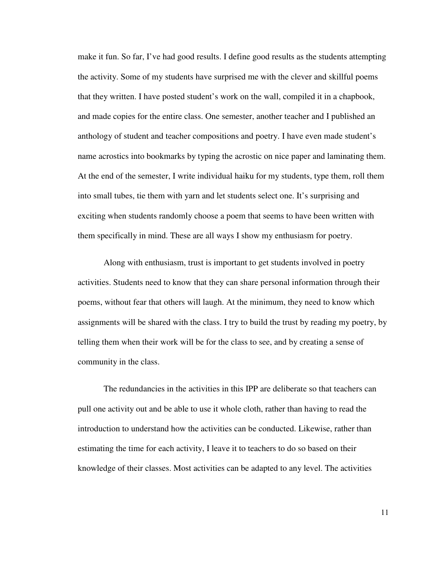make it fun. So far, I've had good results. I define good results as the students attempting the activity. Some of my students have surprised me with the clever and skillful poems that they written. I have posted student's work on the wall, compiled it in a chapbook, and made copies for the entire class. One semester, another teacher and I published an anthology of student and teacher compositions and poetry. I have even made student's name acrostics into bookmarks by typing the acrostic on nice paper and laminating them. At the end of the semester, I write individual haiku for my students, type them, roll them into small tubes, tie them with yarn and let students select one. It's surprising and exciting when students randomly choose a poem that seems to have been written with them specifically in mind. These are all ways I show my enthusiasm for poetry.

 Along with enthusiasm, trust is important to get students involved in poetry activities. Students need to know that they can share personal information through their poems, without fear that others will laugh. At the minimum, they need to know which assignments will be shared with the class. I try to build the trust by reading my poetry, by telling them when their work will be for the class to see, and by creating a sense of community in the class.

The redundancies in the activities in this IPP are deliberate so that teachers can pull one activity out and be able to use it whole cloth, rather than having to read the introduction to understand how the activities can be conducted. Likewise, rather than estimating the time for each activity, I leave it to teachers to do so based on their knowledge of their classes. Most activities can be adapted to any level. The activities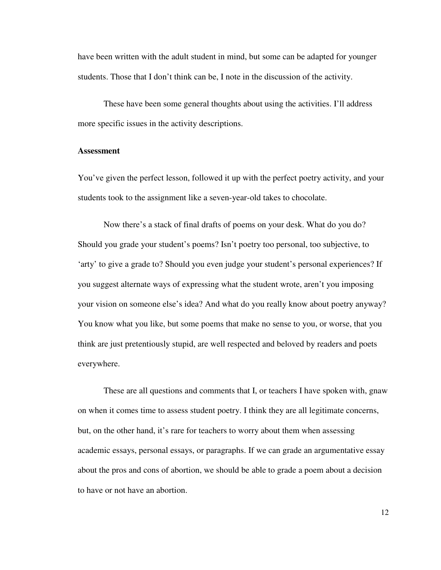have been written with the adult student in mind, but some can be adapted for younger students. Those that I don't think can be, I note in the discussion of the activity.

 These have been some general thoughts about using the activities. I'll address more specific issues in the activity descriptions.

#### **Assessment**

You've given the perfect lesson, followed it up with the perfect poetry activity, and your students took to the assignment like a seven-year-old takes to chocolate.

 Now there's a stack of final drafts of poems on your desk. What do you do? Should you grade your student's poems? Isn't poetry too personal, too subjective, to 'arty' to give a grade to? Should you even judge your student's personal experiences? If you suggest alternate ways of expressing what the student wrote, aren't you imposing your vision on someone else's idea? And what do you really know about poetry anyway? You know what you like, but some poems that make no sense to you, or worse, that you think are just pretentiously stupid, are well respected and beloved by readers and poets everywhere.

 These are all questions and comments that I, or teachers I have spoken with, gnaw on when it comes time to assess student poetry. I think they are all legitimate concerns, but, on the other hand, it's rare for teachers to worry about them when assessing academic essays, personal essays, or paragraphs. If we can grade an argumentative essay about the pros and cons of abortion, we should be able to grade a poem about a decision to have or not have an abortion.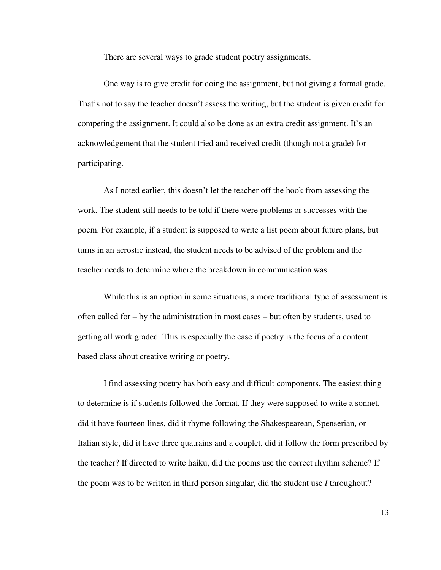There are several ways to grade student poetry assignments.

 One way is to give credit for doing the assignment, but not giving a formal grade. That's not to say the teacher doesn't assess the writing, but the student is given credit for competing the assignment. It could also be done as an extra credit assignment. It's an acknowledgement that the student tried and received credit (though not a grade) for participating.

 As I noted earlier, this doesn't let the teacher off the hook from assessing the work. The student still needs to be told if there were problems or successes with the poem. For example, if a student is supposed to write a list poem about future plans, but turns in an acrostic instead, the student needs to be advised of the problem and the teacher needs to determine where the breakdown in communication was.

 While this is an option in some situations, a more traditional type of assessment is often called for – by the administration in most cases – but often by students, used to getting all work graded. This is especially the case if poetry is the focus of a content based class about creative writing or poetry.

 I find assessing poetry has both easy and difficult components. The easiest thing to determine is if students followed the format. If they were supposed to write a sonnet, did it have fourteen lines, did it rhyme following the Shakespearean, Spenserian, or Italian style, did it have three quatrains and a couplet, did it follow the form prescribed by the teacher? If directed to write haiku, did the poems use the correct rhythm scheme? If the poem was to be written in third person singular, did the student use *I* throughout?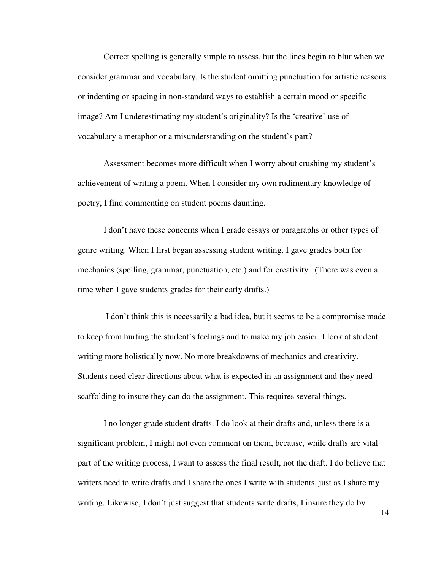Correct spelling is generally simple to assess, but the lines begin to blur when we consider grammar and vocabulary. Is the student omitting punctuation for artistic reasons or indenting or spacing in non-standard ways to establish a certain mood or specific image? Am I underestimating my student's originality? Is the 'creative' use of vocabulary a metaphor or a misunderstanding on the student's part?

 Assessment becomes more difficult when I worry about crushing my student's achievement of writing a poem. When I consider my own rudimentary knowledge of poetry, I find commenting on student poems daunting.

 I don't have these concerns when I grade essays or paragraphs or other types of genre writing. When I first began assessing student writing, I gave grades both for mechanics (spelling, grammar, punctuation, etc.) and for creativity. (There was even a time when I gave students grades for their early drafts.)

 I don't think this is necessarily a bad idea, but it seems to be a compromise made to keep from hurting the student's feelings and to make my job easier. I look at student writing more holistically now. No more breakdowns of mechanics and creativity. Students need clear directions about what is expected in an assignment and they need scaffolding to insure they can do the assignment. This requires several things.

 I no longer grade student drafts. I do look at their drafts and, unless there is a significant problem, I might not even comment on them, because, while drafts are vital part of the writing process, I want to assess the final result, not the draft. I do believe that writers need to write drafts and I share the ones I write with students, just as I share my writing. Likewise, I don't just suggest that students write drafts, I insure they do by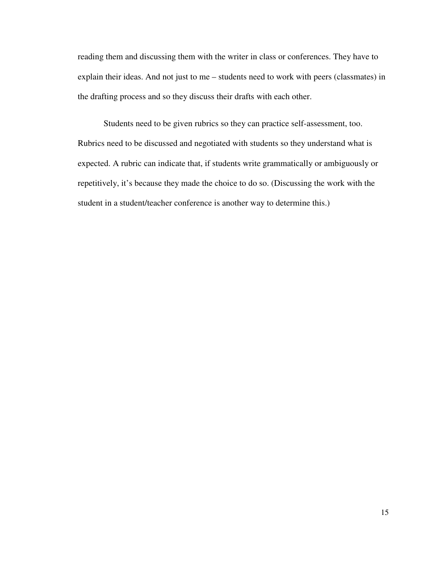reading them and discussing them with the writer in class or conferences. They have to explain their ideas. And not just to me – students need to work with peers (classmates) in the drafting process and so they discuss their drafts with each other.

 Students need to be given rubrics so they can practice self-assessment, too. Rubrics need to be discussed and negotiated with students so they understand what is expected. A rubric can indicate that, if students write grammatically or ambiguously or repetitively, it's because they made the choice to do so. (Discussing the work with the student in a student/teacher conference is another way to determine this.)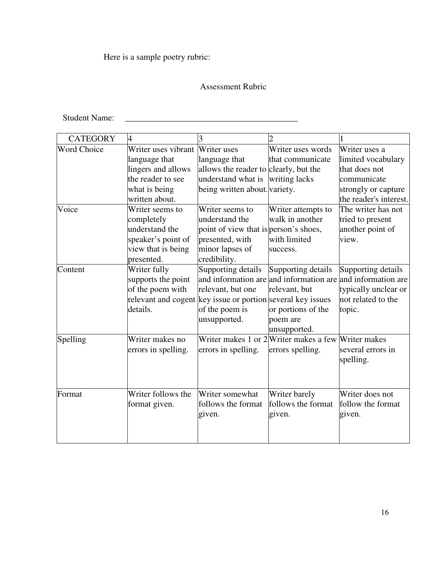Here is a sample poetry rubric:

# Assessment Rubric

Student Name: \_\_\_\_\_\_\_\_\_\_\_\_\_\_\_\_\_\_\_\_\_\_\_\_\_\_\_\_\_\_\_\_\_\_\_\_\_\_\_\_

| <b>CATEGORY</b>    |                                                                                                                                | 3                                                                                                                                        |                                                                                       |                                                                                                                                           |
|--------------------|--------------------------------------------------------------------------------------------------------------------------------|------------------------------------------------------------------------------------------------------------------------------------------|---------------------------------------------------------------------------------------|-------------------------------------------------------------------------------------------------------------------------------------------|
| <b>Word Choice</b> | Writer uses vibrant Writer uses<br>language that<br>lingers and allows<br>the reader to see<br>what is being<br>written about. | language that<br>allows the reader to clearly, but the<br>understand what is<br>being written about. variety.                            | Writer uses words<br>that communicate<br>writing lacks                                | Writer uses a<br>limited vocabulary<br>that does not<br>communicate<br>strongly or capture<br>the reader's interest.                      |
| Voice              | Writer seems to<br>completely<br>understand the<br>speaker's point of<br>view that is being<br>presented.                      | Writer seems to<br>understand the<br>point of view that is person's shoes,<br>presented, with<br>minor lapses of<br>credibility.         | Writer attempts to<br>walk in another<br>with limited<br>success.                     | The writer has not<br>tried to present<br>another point of<br>view.                                                                       |
| Content            | Writer fully<br>supports the point<br>of the poem with<br>details.                                                             | Supporting details<br>relevant, but one<br>relevant and cogent key issue or portion several key issues<br>of the poem is<br>unsupported. | Supporting details<br>relevant, but<br>or portions of the<br>poem are<br>unsupported. | Supporting details<br>and information are and information are and information are<br>typically unclear or<br>not related to the<br>topic. |
| Spelling           | Writer makes no<br>errors in spelling.                                                                                         | errors in spelling.                                                                                                                      | Writer makes 1 or 2 Writer makes a few<br>errors spelling.                            | Writer makes<br>several errors in<br>spelling.                                                                                            |
| Format             | Writer follows the<br>format given.                                                                                            | Writer somewhat<br>follows the format<br>given.                                                                                          | Writer barely<br>follows the format<br>given.                                         | Writer does not<br>follow the format<br>given.                                                                                            |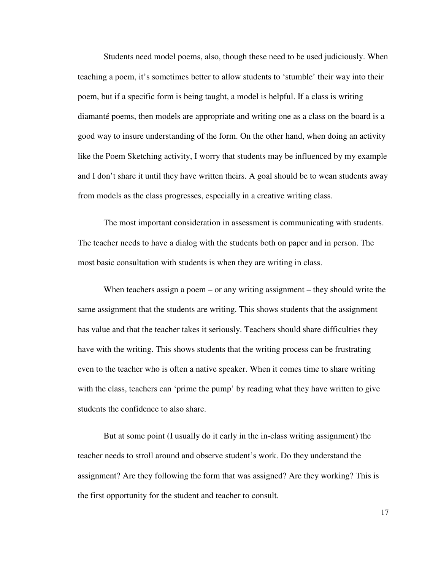Students need model poems, also, though these need to be used judiciously. When teaching a poem, it's sometimes better to allow students to 'stumble' their way into their poem, but if a specific form is being taught, a model is helpful. If a class is writing diamanté poems, then models are appropriate and writing one as a class on the board is a good way to insure understanding of the form. On the other hand, when doing an activity like the Poem Sketching activity, I worry that students may be influenced by my example and I don't share it until they have written theirs. A goal should be to wean students away from models as the class progresses, especially in a creative writing class.

 The most important consideration in assessment is communicating with students. The teacher needs to have a dialog with the students both on paper and in person. The most basic consultation with students is when they are writing in class.

When teachers assign a poem – or any writing assignment – they should write the same assignment that the students are writing. This shows students that the assignment has value and that the teacher takes it seriously. Teachers should share difficulties they have with the writing. This shows students that the writing process can be frustrating even to the teacher who is often a native speaker. When it comes time to share writing with the class, teachers can 'prime the pump' by reading what they have written to give students the confidence to also share.

 But at some point (I usually do it early in the in-class writing assignment) the teacher needs to stroll around and observe student's work. Do they understand the assignment? Are they following the form that was assigned? Are they working? This is the first opportunity for the student and teacher to consult.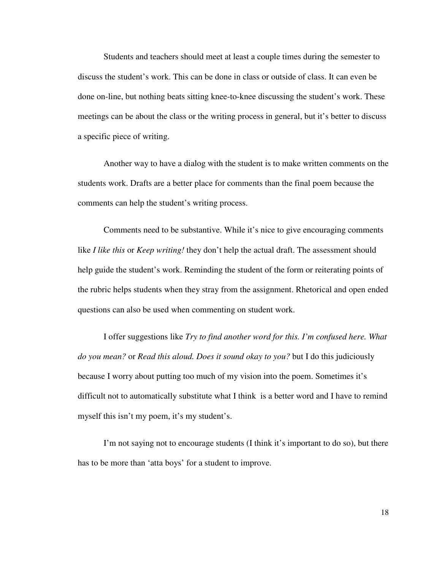Students and teachers should meet at least a couple times during the semester to discuss the student's work. This can be done in class or outside of class. It can even be done on-line, but nothing beats sitting knee-to-knee discussing the student's work. These meetings can be about the class or the writing process in general, but it's better to discuss a specific piece of writing.

 Another way to have a dialog with the student is to make written comments on the students work. Drafts are a better place for comments than the final poem because the comments can help the student's writing process.

 Comments need to be substantive. While it's nice to give encouraging comments like *I like this* or *Keep writing!* they don't help the actual draft. The assessment should help guide the student's work. Reminding the student of the form or reiterating points of the rubric helps students when they stray from the assignment. Rhetorical and open ended questions can also be used when commenting on student work.

 I offer suggestions like *Try to find another word for this. I'm confused here. What do you mean?* or *Read this aloud. Does it sound okay to you?* but I do this judiciously because I worry about putting too much of my vision into the poem. Sometimes it's difficult not to automatically substitute what I think is a better word and I have to remind myself this isn't my poem, it's my student's.

 I'm not saying not to encourage students (I think it's important to do so), but there has to be more than 'atta boys' for a student to improve.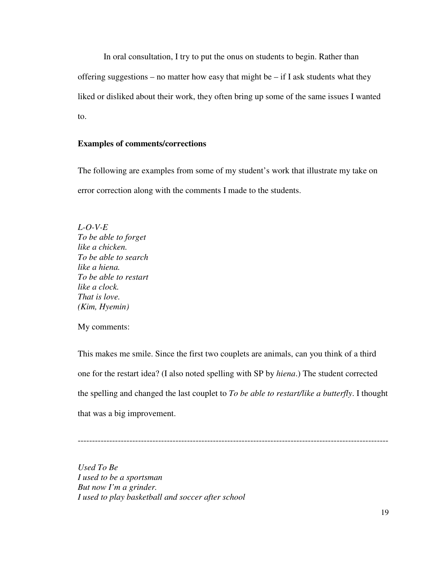In oral consultation, I try to put the onus on students to begin. Rather than offering suggestions – no matter how easy that might be – if I ask students what they liked or disliked about their work, they often bring up some of the same issues I wanted to.

### **Examples of comments/corrections**

The following are examples from some of my student's work that illustrate my take on error correction along with the comments I made to the students.

*L-O-V-E To be able to forget like a chicken. To be able to search like a hiena. To be able to restart like a clock. That is love. (Kim, Hyemin)* 

My comments:

This makes me smile. Since the first two couplets are animals, can you think of a third one for the restart idea? (I also noted spelling with SP by *hiena*.) The student corrected the spelling and changed the last couplet to *To be able to restart/like a butterfly*. I thought that was a big improvement.

------------------------------------------------------------------------------------------------------------

*Used To Be I used to be a sportsman But now I'm a grinder. I used to play basketball and soccer after school*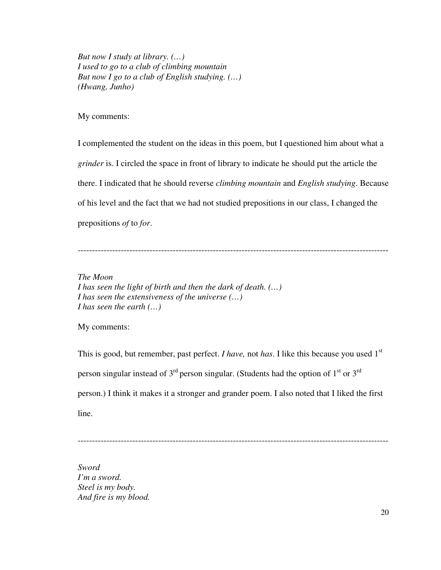*But now I study at library. (…) I used to go to a club of climbing mountain But now I go to a club of English studying. (…) (Hwang, Junho)* 

My comments:

I complemented the student on the ideas in this poem, but I questioned him about what a *grinder* is. I circled the space in front of library to indicate he should put the article the there. I indicated that he should reverse *climbing mountain* and *English studying*. Because of his level and the fact that we had not studied prepositions in our class, I changed the prepositions *of* to *for*.

------------------------------------------------------------------------------------------------------------

*The Moon I has seen the light of birth and then the dark of death. (…) I has seen the extensiveness of the universe (…) I has seen the earth (…)* 

My comments:

This is good, but remember, past perfect. *I have*, not *has*. I like this because you used 1<sup>st</sup> person singular instead of  $3<sup>rd</sup>$  person singular. (Students had the option of  $1<sup>st</sup>$  or  $3<sup>rd</sup>$ person.) I think it makes it a stronger and grander poem. I also noted that I liked the first line.

------------------------------------------------------------------------------------------------------------

*Sword I'm a sword. Steel is my body. And fire is my blood.*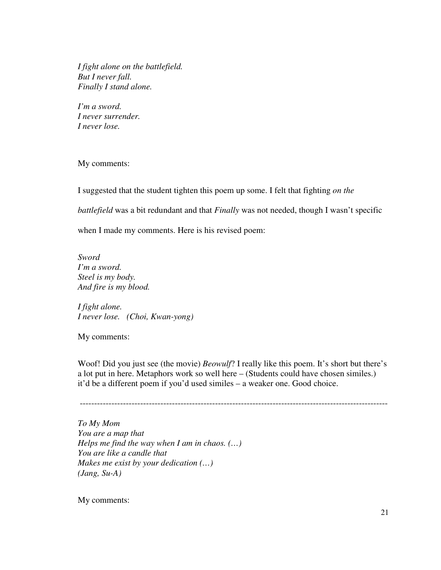*I fight alone on the battlefield. But I never fall. Finally I stand alone.* 

*I'm a sword. I never surrender. I never lose.* 

My comments:

I suggested that the student tighten this poem up some. I felt that fighting *on the* 

*battlefield* was a bit redundant and that *Finally* was not needed, though I wasn't specific

when I made my comments. Here is his revised poem:

*Sword I'm a sword. Steel is my body. And fire is my blood.* 

*I fight alone. I never lose. (Choi, Kwan-yong)* 

My comments:

Woof! Did you just see (the movie) *Beowulf*? I really like this poem. It's short but there's a lot put in here. Metaphors work so well here – (Students could have chosen similes.) it'd be a different poem if you'd used similes – a weaker one. Good choice.

-----------------------------------------------------------------------------------------------------------

*To My Mom You are a map that Helps me find the way when I am in chaos. (…) You are like a candle that Makes me exist by your dedication (…) (Jang, Su-A)* 

My comments: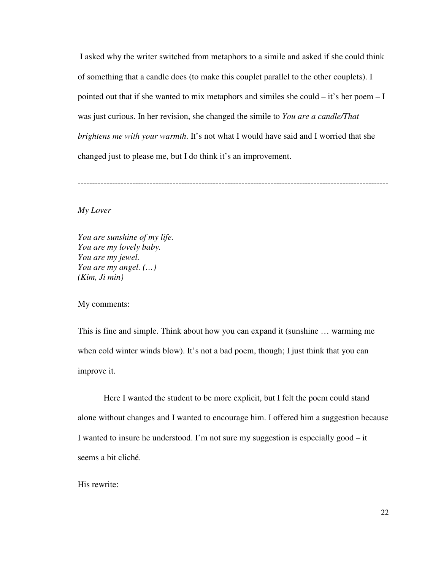I asked why the writer switched from metaphors to a simile and asked if she could think of something that a candle does (to make this couplet parallel to the other couplets). I pointed out that if she wanted to mix metaphors and similes she could  $-$  it's her poem  $-1$ was just curious. In her revision, she changed the simile to *You are a candle/That brightens me with your warmth*. It's not what I would have said and I worried that she changed just to please me, but I do think it's an improvement.

------------------------------------------------------------------------------------------------------------

*My Lover* 

*You are sunshine of my life. You are my lovely baby. You are my jewel. You are my angel. (…) (Kim, Ji min)* 

My comments:

This is fine and simple. Think about how you can expand it (sunshine … warming me when cold winter winds blow). It's not a bad poem, though; I just think that you can improve it.

 Here I wanted the student to be more explicit, but I felt the poem could stand alone without changes and I wanted to encourage him. I offered him a suggestion because I wanted to insure he understood. I'm not sure my suggestion is especially good – it seems a bit cliché.

His rewrite: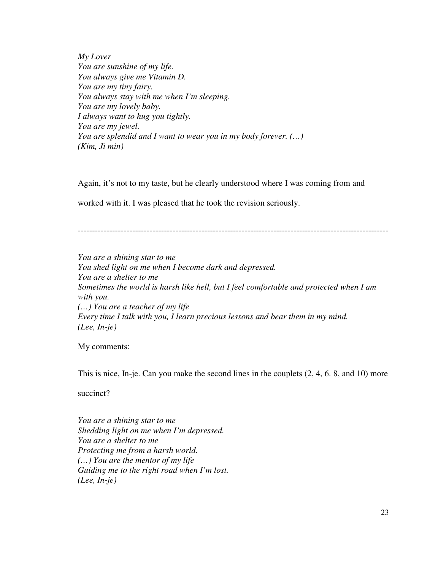*My Lover You are sunshine of my life. You always give me Vitamin D. You are my tiny fairy. You always stay with me when I'm sleeping. You are my lovely baby. I always want to hug you tightly. You are my jewel. You are splendid and I want to wear you in my body forever. (…) (Kim, Ji min)* 

Again, it's not to my taste, but he clearly understood where I was coming from and

worked with it. I was pleased that he took the revision seriously.

------------------------------------------------------------------------------------------------------------

*You are a shining star to me You shed light on me when I become dark and depressed. You are a shelter to me Sometimes the world is harsh like hell, but I feel comfortable and protected when I am with you. (…) You are a teacher of my life Every time I talk with you, I learn precious lessons and bear them in my mind. (Lee, In-je)* 

My comments:

This is nice, In-je. Can you make the second lines in the couplets (2, 4, 6. 8, and 10) more

succinct?

*You are a shining star to me Shedding light on me when I'm depressed. You are a shelter to me Protecting me from a harsh world. (…) You are the mentor of my life Guiding me to the right road when I'm lost. (Lee, In-je)*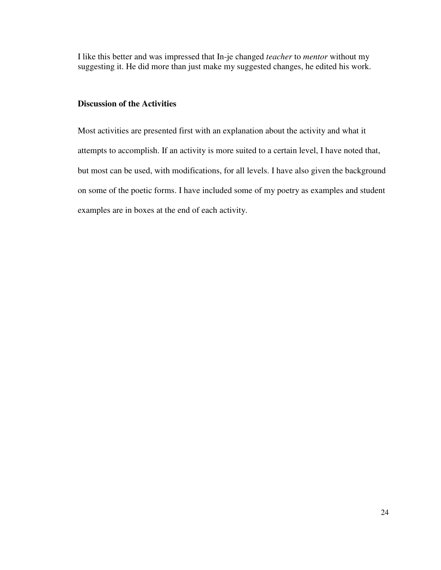I like this better and was impressed that In-je changed *teacher* to *mentor* without my suggesting it. He did more than just make my suggested changes, he edited his work.

## **Discussion of the Activities**

Most activities are presented first with an explanation about the activity and what it attempts to accomplish. If an activity is more suited to a certain level, I have noted that, but most can be used, with modifications, for all levels. I have also given the background on some of the poetic forms. I have included some of my poetry as examples and student examples are in boxes at the end of each activity.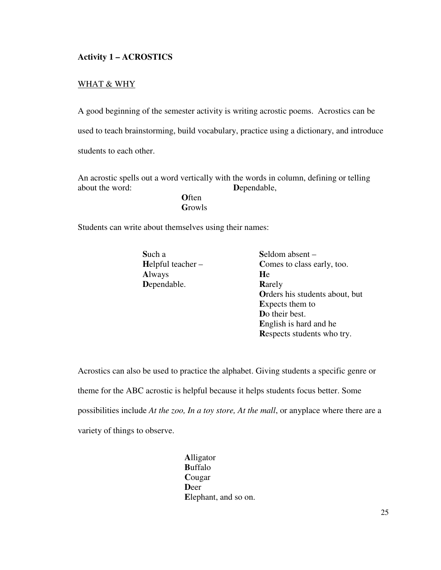## **Activity 1 – ACROSTICS**

## WHAT & WHY

A good beginning of the semester activity is writing acrostic poems. Acrostics can be used to teach brainstorming, build vocabulary, practice using a dictionary, and introduce students to each other.

An acrostic spells out a word vertically with the words in column, defining or telling about the word: **D**ependable,

**O**ften **G**rowls

Students can write about themselves using their names:

**S**uch a Seldom absent – **A**lways **H**e **D**ependable. **R**arely

**Helpful teacher – Comes to class early, too. O**rders his students about, but **E**xpects them to  **D**o their best. **E**nglish is hard and he **R**espects students who try.

Acrostics can also be used to practice the alphabet. Giving students a specific genre or theme for the ABC acrostic is helpful because it helps students focus better. Some possibilities include *At the zoo, In a toy store, At the mall*, or anyplace where there are a variety of things to observe.

> **A**lligator **B**uffalo **C**ougar **D**eer **E**lephant, and so on.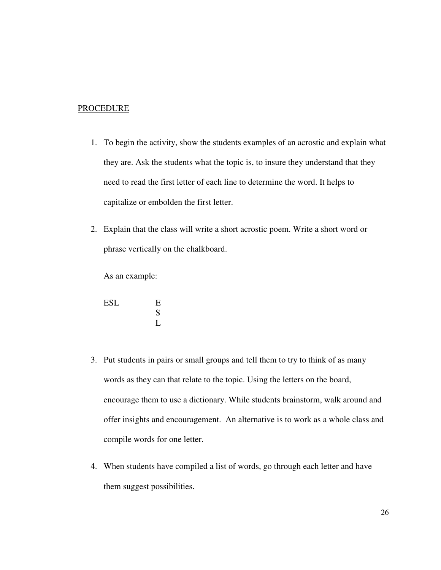#### **PROCEDURE**

- 1. To begin the activity, show the students examples of an acrostic and explain what they are. Ask the students what the topic is, to insure they understand that they need to read the first letter of each line to determine the word. It helps to capitalize or embolden the first letter.
- 2. Explain that the class will write a short acrostic poem. Write a short word or phrase vertically on the chalkboard.

As an example:

ESL E S L

- 3. Put students in pairs or small groups and tell them to try to think of as many words as they can that relate to the topic. Using the letters on the board, encourage them to use a dictionary. While students brainstorm, walk around and offer insights and encouragement. An alternative is to work as a whole class and compile words for one letter.
- 4. When students have compiled a list of words, go through each letter and have them suggest possibilities.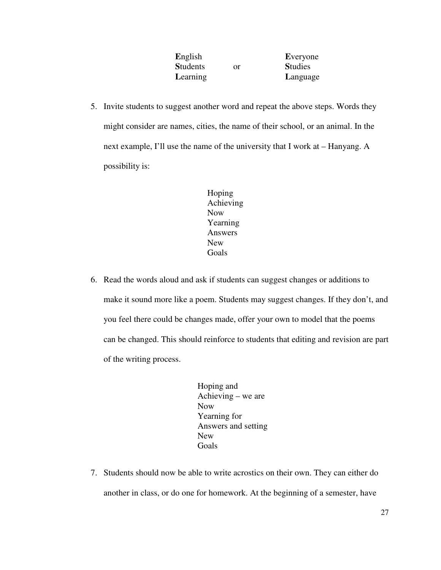| English         |    | Everyone       |
|-----------------|----|----------------|
| <b>Students</b> | 0r | <b>Studies</b> |
| Learning        |    | Language       |

5. Invite students to suggest another word and repeat the above steps. Words they might consider are names, cities, the name of their school, or an animal. In the next example, I'll use the name of the university that I work at – Hanyang. A possibility is:

> Hoping Achieving Now Yearning Answers New Goals

6. Read the words aloud and ask if students can suggest changes or additions to make it sound more like a poem. Students may suggest changes. If they don't, and you feel there could be changes made, offer your own to model that the poems can be changed. This should reinforce to students that editing and revision are part of the writing process.

> Hoping and Achieving – we are Now Yearning for Answers and setting New Goals

7. Students should now be able to write acrostics on their own. They can either do another in class, or do one for homework. At the beginning of a semester, have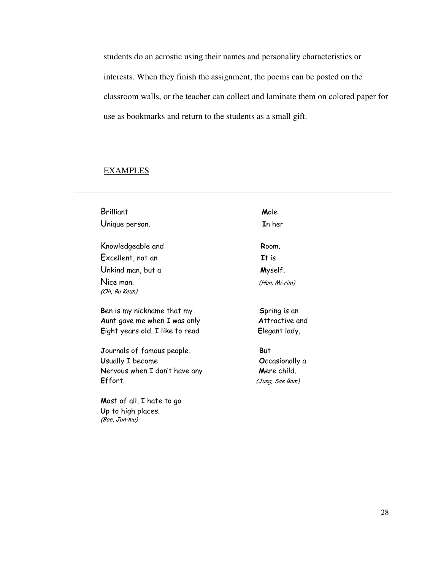students do an acrostic using their names and personality characteristics or interests. When they finish the assignment, the poems can be posted on the classroom walls, or the teacher can collect and laminate them on colored paper for use as bookmarks and return to the students as a small gift.

# **EXAMPLES**

| <b>Brilliant</b>                | Mole                  |  |
|---------------------------------|-----------------------|--|
| Unique person.                  | In her                |  |
| Knowledgeable and               | Room                  |  |
| Excellent, not an               | It is                 |  |
| Unkind man, but a               | Myself.               |  |
| Nice man.<br>(Oh, Bu Keun)      | (Han, Mi-rim)         |  |
| Ben is my nickname that my      | Spring is an          |  |
| Aunt gave me when I was only    | <b>Attractive and</b> |  |
| Eight years old. I like to read | Elegant lady,         |  |
| Journals of famous people.      | <b>But</b>            |  |
| Usually I become                | Occasionally a        |  |
| Nervous when I don't have any   | Mere child.           |  |
| Effort.                         | (Jung, Sae Bom)       |  |
| Most of all, I hate to go       |                       |  |
| Up to high places.              |                       |  |
| (Bae, Jun-mu)                   |                       |  |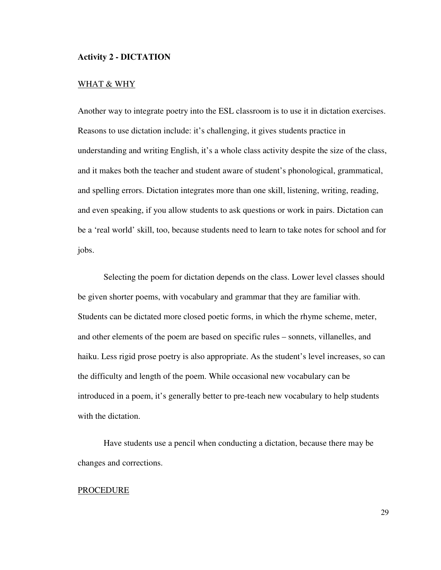### **Activity 2 - DICTATION**

### WHAT & WHY

Another way to integrate poetry into the ESL classroom is to use it in dictation exercises. Reasons to use dictation include: it's challenging, it gives students practice in understanding and writing English, it's a whole class activity despite the size of the class, and it makes both the teacher and student aware of student's phonological, grammatical, and spelling errors. Dictation integrates more than one skill, listening, writing, reading, and even speaking, if you allow students to ask questions or work in pairs. Dictation can be a 'real world' skill, too, because students need to learn to take notes for school and for jobs.

 Selecting the poem for dictation depends on the class. Lower level classes should be given shorter poems, with vocabulary and grammar that they are familiar with. Students can be dictated more closed poetic forms, in which the rhyme scheme, meter, and other elements of the poem are based on specific rules – sonnets, villanelles, and haiku. Less rigid prose poetry is also appropriate. As the student's level increases, so can the difficulty and length of the poem. While occasional new vocabulary can be introduced in a poem, it's generally better to pre-teach new vocabulary to help students with the dictation.

 Have students use a pencil when conducting a dictation, because there may be changes and corrections.

#### PROCEDURE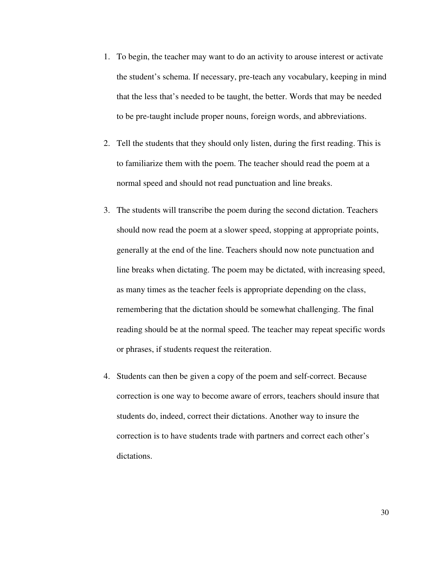- 1. To begin, the teacher may want to do an activity to arouse interest or activate the student's schema. If necessary, pre-teach any vocabulary, keeping in mind that the less that's needed to be taught, the better. Words that may be needed to be pre-taught include proper nouns, foreign words, and abbreviations.
- 2. Tell the students that they should only listen, during the first reading. This is to familiarize them with the poem. The teacher should read the poem at a normal speed and should not read punctuation and line breaks.
- 3. The students will transcribe the poem during the second dictation. Teachers should now read the poem at a slower speed, stopping at appropriate points, generally at the end of the line. Teachers should now note punctuation and line breaks when dictating. The poem may be dictated, with increasing speed, as many times as the teacher feels is appropriate depending on the class, remembering that the dictation should be somewhat challenging. The final reading should be at the normal speed. The teacher may repeat specific words or phrases, if students request the reiteration.
- 4. Students can then be given a copy of the poem and self-correct. Because correction is one way to become aware of errors, teachers should insure that students do, indeed, correct their dictations. Another way to insure the correction is to have students trade with partners and correct each other's dictations.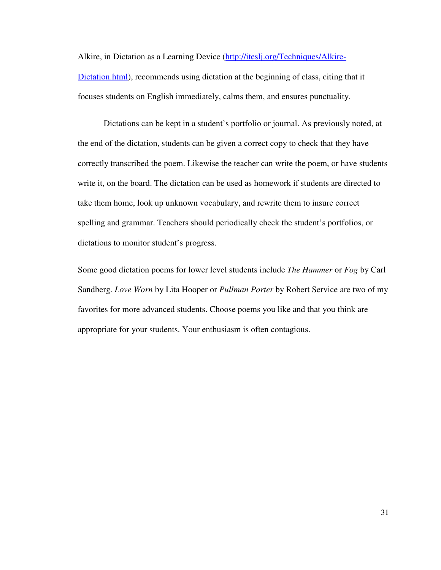Alkire, in Dictation as a Learning Device (http://iteslj.org/Techniques/Alkire-Dictation.html), recommends using dictation at the beginning of class, citing that it focuses students on English immediately, calms them, and ensures punctuality.

Dictations can be kept in a student's portfolio or journal. As previously noted, at the end of the dictation, students can be given a correct copy to check that they have correctly transcribed the poem. Likewise the teacher can write the poem, or have students write it, on the board. The dictation can be used as homework if students are directed to take them home, look up unknown vocabulary, and rewrite them to insure correct spelling and grammar. Teachers should periodically check the student's portfolios, or dictations to monitor student's progress.

Some good dictation poems for lower level students include *The Hammer* or *Fog* by Carl Sandberg. *Love Worn* by Lita Hooper or *Pullman Porter* by Robert Service are two of my favorites for more advanced students. Choose poems you like and that you think are appropriate for your students. Your enthusiasm is often contagious.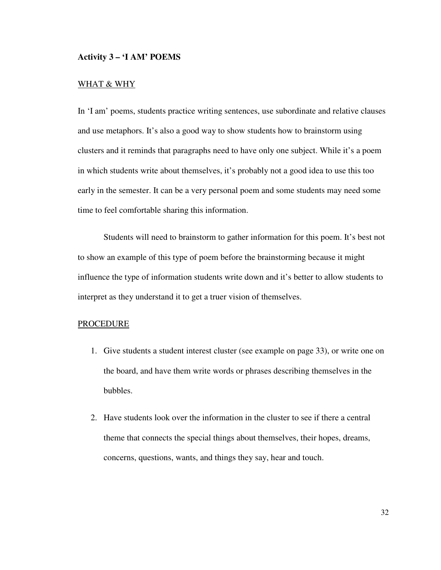### **Activity 3 – 'I AM' POEMS**

### WHAT & WHY

In 'I am' poems, students practice writing sentences, use subordinate and relative clauses and use metaphors. It's also a good way to show students how to brainstorm using clusters and it reminds that paragraphs need to have only one subject. While it's a poem in which students write about themselves, it's probably not a good idea to use this too early in the semester. It can be a very personal poem and some students may need some time to feel comfortable sharing this information.

 Students will need to brainstorm to gather information for this poem. It's best not to show an example of this type of poem before the brainstorming because it might influence the type of information students write down and it's better to allow students to interpret as they understand it to get a truer vision of themselves.

### PROCEDURE

- 1. Give students a student interest cluster (see example on page 33), or write one on the board, and have them write words or phrases describing themselves in the bubbles.
- 2. Have students look over the information in the cluster to see if there a central theme that connects the special things about themselves, their hopes, dreams, concerns, questions, wants, and things they say, hear and touch.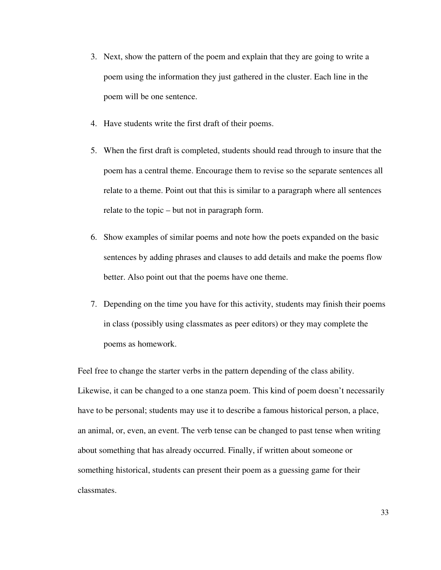- 3. Next, show the pattern of the poem and explain that they are going to write a poem using the information they just gathered in the cluster. Each line in the poem will be one sentence.
- 4. Have students write the first draft of their poems.
- 5. When the first draft is completed, students should read through to insure that the poem has a central theme. Encourage them to revise so the separate sentences all relate to a theme. Point out that this is similar to a paragraph where all sentences relate to the topic – but not in paragraph form.
- 6. Show examples of similar poems and note how the poets expanded on the basic sentences by adding phrases and clauses to add details and make the poems flow better. Also point out that the poems have one theme.
- 7. Depending on the time you have for this activity, students may finish their poems in class (possibly using classmates as peer editors) or they may complete the poems as homework.

Feel free to change the starter verbs in the pattern depending of the class ability. Likewise, it can be changed to a one stanza poem. This kind of poem doesn't necessarily have to be personal; students may use it to describe a famous historical person, a place, an animal, or, even, an event. The verb tense can be changed to past tense when writing about something that has already occurred. Finally, if written about someone or something historical, students can present their poem as a guessing game for their classmates.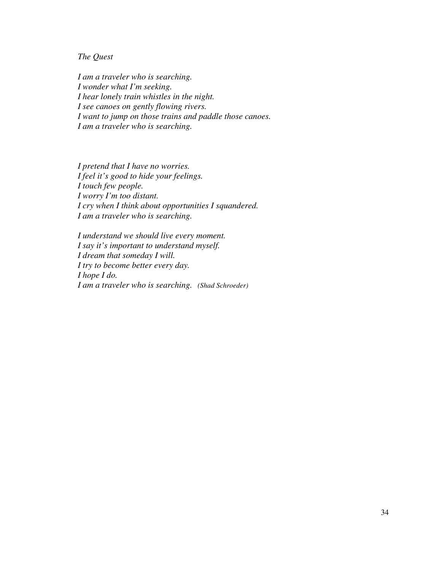*The Quest* 

*I am a traveler who is searching. I wonder what I'm seeking. I hear lonely train whistles in the night. I see canoes on gently flowing rivers. I want to jump on those trains and paddle those canoes. I am a traveler who is searching.* 

*I pretend that I have no worries. I feel it's good to hide your feelings. I touch few people. I worry I'm too distant. I cry when I think about opportunities I squandered. I am a traveler who is searching.* 

*I understand we should live every moment. I say it's important to understand myself. I dream that someday I will. I try to become better every day. I hope I do. I am a traveler who is searching. (Shad Schroeder)*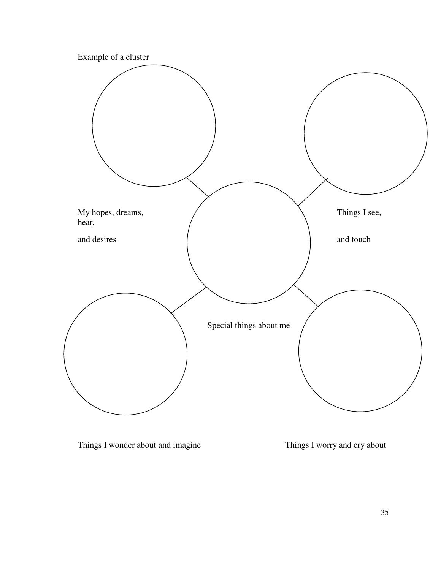

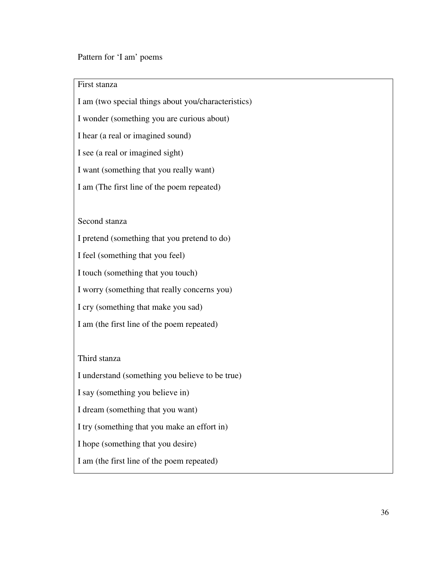# Pattern for 'I am' poems

First stanza

I am (two special things about you/characteristics)

I wonder (something you are curious about)

I hear (a real or imagined sound)

I see (a real or imagined sight)

I want (something that you really want)

I am (The first line of the poem repeated)

### Second stanza

I pretend (something that you pretend to do)

I feel (something that you feel)

I touch (something that you touch)

I worry (something that really concerns you)

I cry (something that make you sad)

I am (the first line of the poem repeated)

Third stanza

I understand (something you believe to be true)

I say (something you believe in)

I dream (something that you want)

I try (something that you make an effort in)

I hope (something that you desire)

I am (the first line of the poem repeated)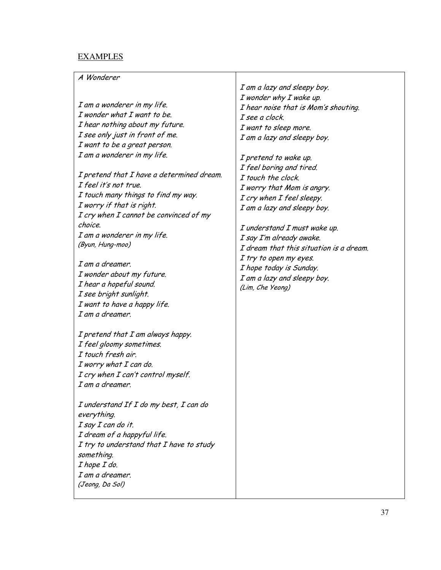## EXAMPLES

#### A Wonderer

I am a wonderer in my life. I wonder what I want to be. I hear nothing about my future. I see only just in front of me. I want to be a great person. I am a wonderer in my life.

I pretend that I have a determined dream. I feel it's not true. I touch many things to find my way. I worry if that is right. I cry when I cannot be convinced of my choice. I am a wonderer in my life. (Byun, Hung-moo)

I am a dreamer. I wonder about my future. I hear a hopeful sound. I see bright sunlight. I want to have a happy life. I am a dreamer.

I pretend that I am always happy. I feel gloomy sometimes. I touch fresh air. I worry what I can do. I cry when I can't control myself. I am a dreamer.

I understand If I do my best, I can do everything. I say I can do it. I dream of a happyful life. I try to understand that I have to study something. I hope I do. I am a dreamer. (Jeong, Da Sol)

I am a lazy and sleepy boy. I wonder why I wake up. I hear noise that is Mom's shouting. I see a clock. I want to sleep more. I am a lazy and sleepy boy.

I pretend to wake up. I feel boring and tired. I touch the clock. I worry that Mom is angry. I cry when I feel sleepy. I am a lazy and sleepy boy.

I understand I must wake up. I say I'm already awake. I dream that this situation is a dream. I try to open my eyes. I hope today is Sunday. I am a lazy and sleepy boy. (Lim, Che Yeong)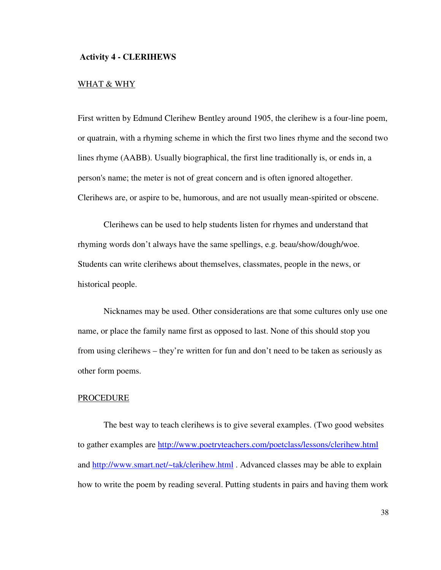### **Activity 4 - CLERIHEWS**

### WHAT & WHY

First written by Edmund Clerihew Bentley around 1905, the clerihew is a four-line poem, or quatrain, with a rhyming scheme in which the first two lines rhyme and the second two lines rhyme (AABB). Usually biographical, the first line traditionally is, or ends in, a person's name; the meter is not of great concern and is often ignored altogether. Clerihews are, or aspire to be, humorous, and are not usually mean-spirited or obscene.

 Clerihews can be used to help students listen for rhymes and understand that rhyming words don't always have the same spellings, e.g. beau/show/dough/woe. Students can write clerihews about themselves, classmates, people in the news, or historical people.

 Nicknames may be used. Other considerations are that some cultures only use one name, or place the family name first as opposed to last. None of this should stop you from using clerihews – they're written for fun and don't need to be taken as seriously as other form poems.

#### PROCEDURE

 The best way to teach clerihews is to give several examples. (Two good websites to gather examples are http://www.poetryteachers.com/poetclass/lessons/clerihew.html and http://www.smart.net/~tak/clerihew.html. Advanced classes may be able to explain how to write the poem by reading several. Putting students in pairs and having them work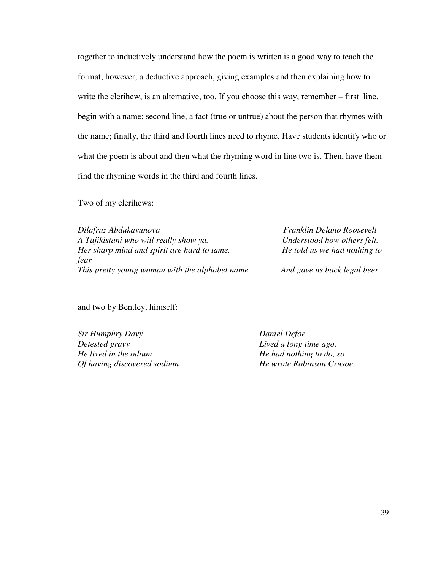together to inductively understand how the poem is written is a good way to teach the format; however, a deductive approach, giving examples and then explaining how to write the clerihew, is an alternative, too. If you choose this way, remember – first line, begin with a name; second line, a fact (true or untrue) about the person that rhymes with the name; finally, the third and fourth lines need to rhyme. Have students identify who or what the poem is about and then what the rhyming word in line two is. Then, have them find the rhyming words in the third and fourth lines.

Two of my clerihews:

*Dilafruz Abdukayunova Franklin Delano Roosevelt A Tajikistani who will really show ya. Understood how others felt. Her sharp mind and spirit are hard to tame. He told us we had nothing to fear This pretty young woman with the alphabet name. And gave us back legal beer.* 

and two by Bentley, himself:

*Sir Humphry Davy Daniel Defoe Detested gravy Lived a long time ago. He lived in the odium He had nothing to do, so Of having discovered sodium. He wrote Robinson Crusoe.*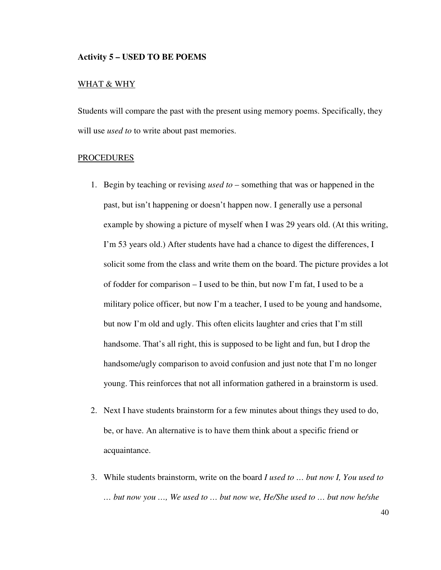#### **Activity 5 – USED TO BE POEMS**

### WHAT & WHY

Students will compare the past with the present using memory poems. Specifically, they will use *used to* to write about past memories.

#### **PROCEDURES**

- 1. Begin by teaching or revising *used to* something that was or happened in the past, but isn't happening or doesn't happen now. I generally use a personal example by showing a picture of myself when I was 29 years old. (At this writing, I'm 53 years old.) After students have had a chance to digest the differences, I solicit some from the class and write them on the board. The picture provides a lot of fodder for comparison – I used to be thin, but now I'm fat, I used to be a military police officer, but now I'm a teacher, I used to be young and handsome, but now I'm old and ugly. This often elicits laughter and cries that I'm still handsome. That's all right, this is supposed to be light and fun, but I drop the handsome/ugly comparison to avoid confusion and just note that I'm no longer young. This reinforces that not all information gathered in a brainstorm is used.
- 2. Next I have students brainstorm for a few minutes about things they used to do, be, or have. An alternative is to have them think about a specific friend or acquaintance.
- 3. While students brainstorm, write on the board *I used to … but now I, You used to … but now you …, We used to … but now we, He/She used to … but now he/she*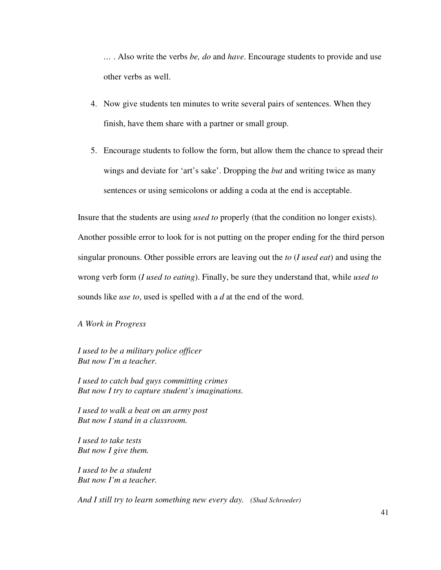*…* . Also write the verbs *be, do* and *have*. Encourage students to provide and use other verbs as well.

- 4. Now give students ten minutes to write several pairs of sentences. When they finish, have them share with a partner or small group.
- 5. Encourage students to follow the form, but allow them the chance to spread their wings and deviate for 'art's sake'. Dropping the *but* and writing twice as many sentences or using semicolons or adding a coda at the end is acceptable.

Insure that the students are using *used to* properly (that the condition no longer exists). Another possible error to look for is not putting on the proper ending for the third person singular pronouns. Other possible errors are leaving out the *to* (*I used eat*) and using the wrong verb form (*I used to eating*). Finally, be sure they understand that, while *used to* sounds like *use to*, used is spelled with a *d* at the end of the word.

*A Work in Progress* 

*I used to be a military police officer But now I'm a teacher.* 

*I used to catch bad guys committing crimes But now I try to capture student's imaginations.* 

*I used to walk a beat on an army post But now I stand in a classroom.* 

*I used to take tests But now I give them.* 

*I used to be a student But now I'm a teacher.* 

*And I still try to learn something new every day. (Shad Schroeder)*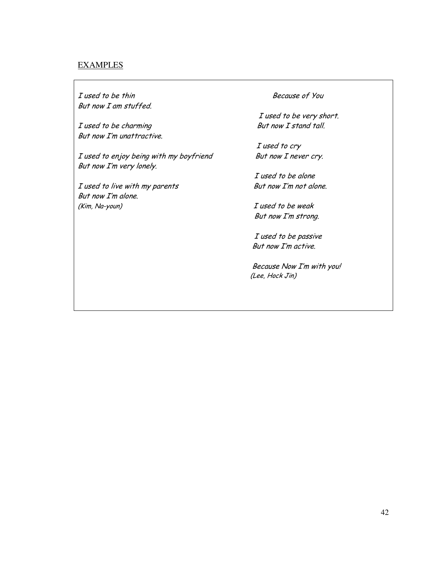# **EXAMPLES**

I used to be thin  $\Box$  Because of You But now I am stuffed.

But now I'm unattractive.

I used to enjoy being with my boyfriend But now I never cry. But now I'm very lonely.

I used to live with my parents But now I'm not alone. But now I'm alone. (Kim, Na-youn) I used to be weak

 I used to be very short. I used to be charming example and tall.

I used to cry

I used to be alone

But now I'm strong.

 I used to be passive But now I'm active.

 Because Now I'm with you! (Lee, Hock Jin)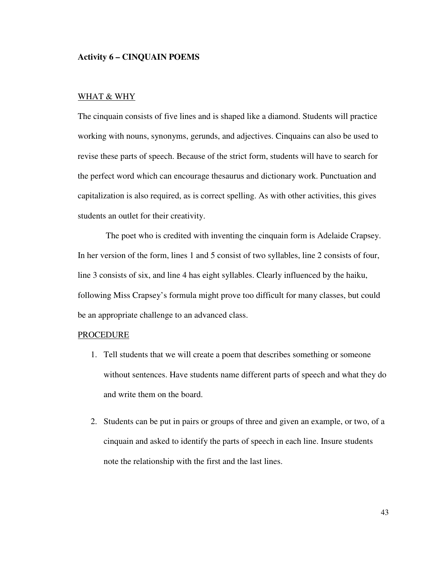## **Activity 6 – CINQUAIN POEMS**

#### WHAT & WHY

The cinquain consists of five lines and is shaped like a diamond. Students will practice working with nouns, synonyms, gerunds, and adjectives. Cinquains can also be used to revise these parts of speech. Because of the strict form, students will have to search for the perfect word which can encourage thesaurus and dictionary work. Punctuation and capitalization is also required, as is correct spelling. As with other activities, this gives students an outlet for their creativity.

 The poet who is credited with inventing the cinquain form is Adelaide Crapsey. In her version of the form, lines 1 and 5 consist of two syllables, line 2 consists of four, line 3 consists of six, and line 4 has eight syllables. Clearly influenced by the haiku, following Miss Crapsey's formula might prove too difficult for many classes, but could be an appropriate challenge to an advanced class.

#### PROCEDURE

- 1. Tell students that we will create a poem that describes something or someone without sentences. Have students name different parts of speech and what they do and write them on the board.
- 2. Students can be put in pairs or groups of three and given an example, or two, of a cinquain and asked to identify the parts of speech in each line. Insure students note the relationship with the first and the last lines.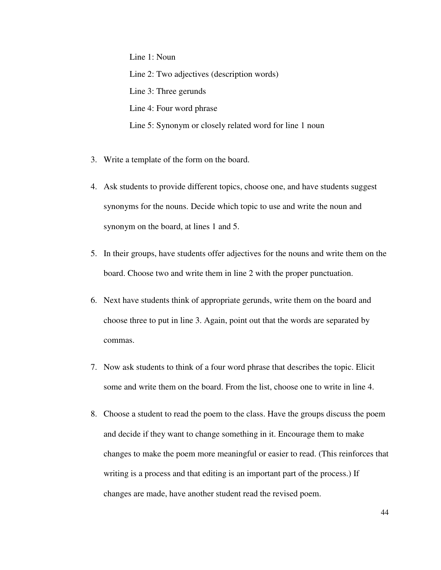Line 1: Noun Line 2: Two adjectives (description words) Line 3: Three gerunds Line 4: Four word phrase Line 5: Synonym or closely related word for line 1 noun

- 3. Write a template of the form on the board.
- 4. Ask students to provide different topics, choose one, and have students suggest synonyms for the nouns. Decide which topic to use and write the noun and synonym on the board, at lines 1 and 5.
- 5. In their groups, have students offer adjectives for the nouns and write them on the board. Choose two and write them in line 2 with the proper punctuation.
- 6. Next have students think of appropriate gerunds, write them on the board and choose three to put in line 3. Again, point out that the words are separated by commas.
- 7. Now ask students to think of a four word phrase that describes the topic. Elicit some and write them on the board. From the list, choose one to write in line 4.
- 8. Choose a student to read the poem to the class. Have the groups discuss the poem and decide if they want to change something in it. Encourage them to make changes to make the poem more meaningful or easier to read. (This reinforces that writing is a process and that editing is an important part of the process.) If changes are made, have another student read the revised poem.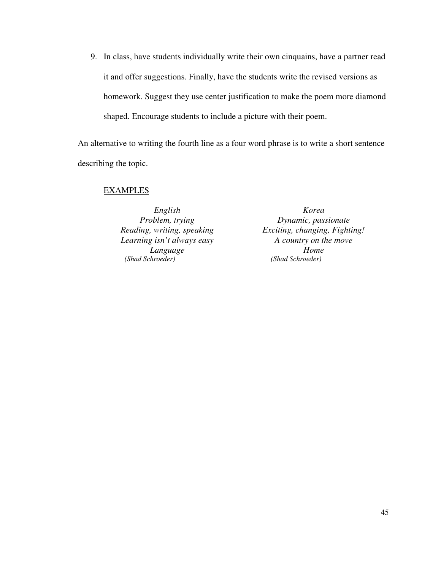9. In class, have students individually write their own cinquains, have a partner read it and offer suggestions. Finally, have the students write the revised versions as homework. Suggest they use center justification to make the poem more diamond shaped. Encourage students to include a picture with their poem.

An alternative to writing the fourth line as a four word phrase is to write a short sentence describing the topic.

### **EXAMPLES**

*English Problem, trying Reading, writing, speaking Learning isn't always easy Language (Shad Schroeder)*

*Korea Dynamic, passionate Exciting, changing, Fighting! A country on the move Home (Shad Schroeder)*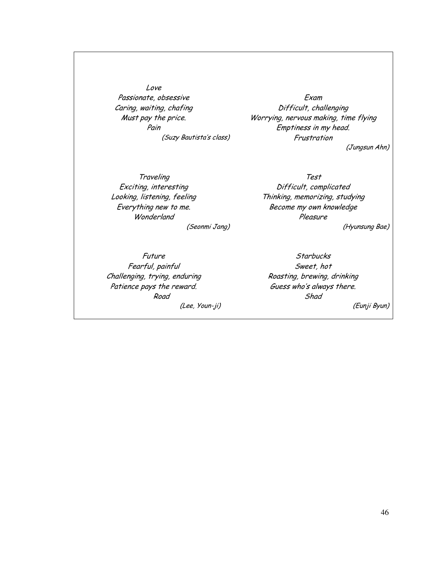Love Passionate, obsessive Caring, waiting, chafing Must pay the price. Pain (Suzy Bautista's class)

Exam Difficult, challenging Worrying, nervous making, time flying Emptiness in my head. Frustration

(Jungsun Ahn)

**Traveling** Exciting, interesting Looking, listening, feeling Everything new to me. Wonderland (Seonmi Jang)

Test Difficult, complicated Thinking, memorizing, studying Become my own knowledge Pleasure (Hyunsung Bae)

Future Fearful, painful Challenging, trying, enduring Patience pays the reward. Road (Lee, Youn-ji)

**Starbucks** Sweet, hot Roasting, brewing, drinking Guess who's always there. Shad (Eunji Byun)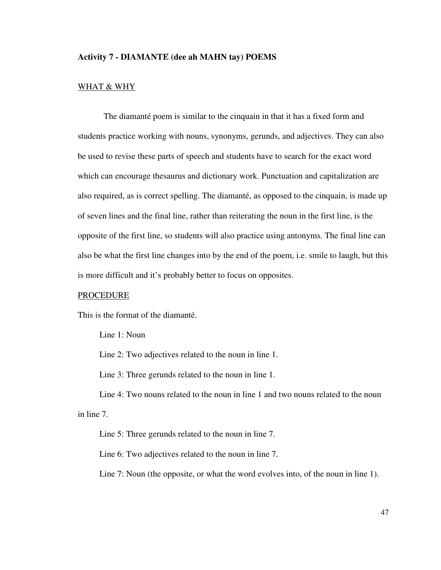## **Activity 7 - DIAMANTE (dee ah MAHN tay) POEMS**

### WHAT & WHY

The diamanté poem is similar to the cinquain in that it has a fixed form and students practice working with nouns, synonyms, gerunds, and adjectives. They can also be used to revise these parts of speech and students have to search for the exact word which can encourage thesaurus and dictionary work. Punctuation and capitalization are also required, as is correct spelling. The diamanté, as opposed to the cinquain, is made up of seven lines and the final line, rather than reiterating the noun in the first line, is the opposite of the first line, so students will also practice using antonyms. The final line can also be what the first line changes into by the end of the poem, i.e. smile to laugh, but this is more difficult and it's probably better to focus on opposites.

## **PROCEDURE**

This is the format of the diamanté.

Line 1: Noun

Line 2: Two adjectives related to the noun in line 1.

Line 3: Three gerunds related to the noun in line 1.

 Line 4: Two nouns related to the noun in line 1 and two nouns related to the noun in line 7.

Line 5: Three gerunds related to the noun in line 7.

Line 6: Two adjectives related to the noun in line 7.

Line 7: Noun (the opposite, or what the word evolves into, of the noun in line 1).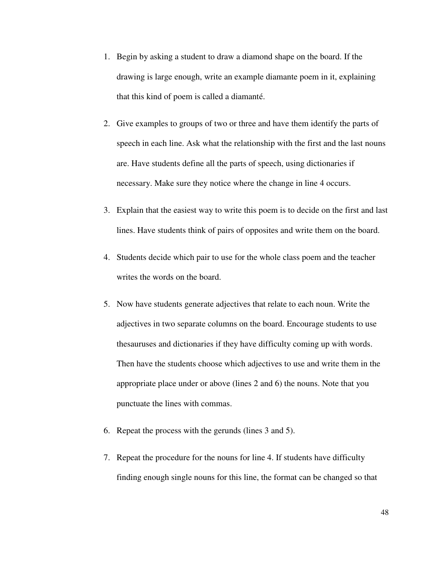- 1. Begin by asking a student to draw a diamond shape on the board. If the drawing is large enough, write an example diamante poem in it, explaining that this kind of poem is called a diamanté.
- 2. Give examples to groups of two or three and have them identify the parts of speech in each line. Ask what the relationship with the first and the last nouns are. Have students define all the parts of speech, using dictionaries if necessary. Make sure they notice where the change in line 4 occurs.
- 3. Explain that the easiest way to write this poem is to decide on the first and last lines. Have students think of pairs of opposites and write them on the board.
- 4. Students decide which pair to use for the whole class poem and the teacher writes the words on the board.
- 5. Now have students generate adjectives that relate to each noun. Write the adjectives in two separate columns on the board. Encourage students to use thesauruses and dictionaries if they have difficulty coming up with words. Then have the students choose which adjectives to use and write them in the appropriate place under or above (lines 2 and 6) the nouns. Note that you punctuate the lines with commas.
- 6. Repeat the process with the gerunds (lines 3 and 5).
- 7. Repeat the procedure for the nouns for line 4. If students have difficulty finding enough single nouns for this line, the format can be changed so that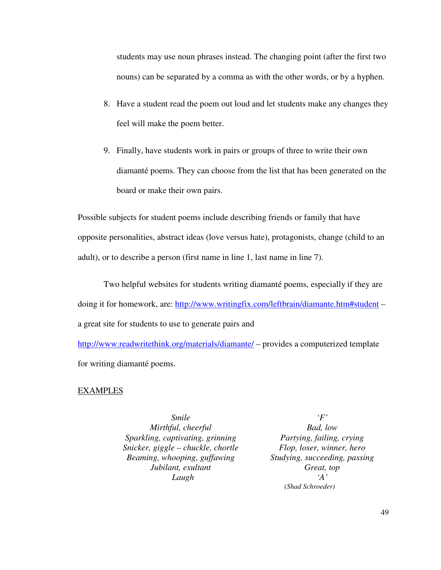students may use noun phrases instead. The changing point (after the first two nouns) can be separated by a comma as with the other words, or by a hyphen.

- 8. Have a student read the poem out loud and let students make any changes they feel will make the poem better.
- 9. Finally, have students work in pairs or groups of three to write their own diamanté poems. They can choose from the list that has been generated on the board or make their own pairs.

Possible subjects for student poems include describing friends or family that have opposite personalities, abstract ideas (love versus hate), protagonists, change (child to an adult), or to describe a person (first name in line 1, last name in line 7).

Two helpful websites for students writing diamanté poems, especially if they are doing it for homework, are: http://www.writingfix.com/leftbrain/diamante.htm#student – a great site for students to use to generate pairs and http://www.readwritethink.org/materials/diamante/ – provides a computerized template

for writing diamanté poems.

# EXAMPLES

*Smile Mirthful, cheerful Sparkling, captivating, grinning Snicker, giggle – chuckle, chortle Beaming, whooping, guffawing Jubilant, exultant Laugh* 

*'F' Bad, low Partying, failing, crying Flop, loser, winner, hero Studying, succeeding, passing Great, top 'A' (Shad Schroeder)*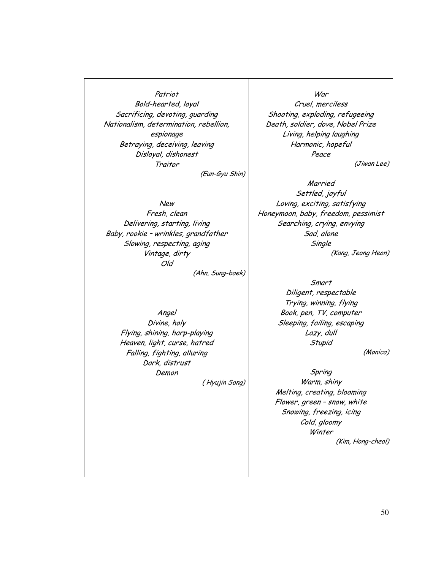Patriot Bold-hearted, loyal Sacrificing, devoting, guarding Nationalism, determination, rebellion, espionage Betraying, deceiving, leaving Disloyal, dishonest Traitor

(Eun-Gyu Shin)

New Fresh, clean Delivering, starting, living Baby, rookie – wrinkles, grandfather Slowing, respecting, aging Vintage, dirty Old (Ahn, Sung-baek)

> Angel Divine, holy Flying, shining, harp-playing Heaven, light, curse, hatred Falling, fighting, alluring Dark, distrust Demon ( Hyujin Song)

Cruel, merciless Shooting, exploding, refugeeing Death, soldier, dove, Nobel Prize Living, helping laughing Harmonic, hopeful Peace

War

(Jiwan Lee)

Married Settled, joyful Loving, exciting, satisfying Honeymoon, baby, freedom, pessimist Searching, crying, envying Sad, alone **Single** (Kang, Jeong Heon)

> **Smart** Diligent, respectable Trying, winning, flying Book, pen, TV, computer Sleeping, failing, escaping Lazy, dull **Stupid**

(Monica)

Spring Warm, shiny Melting, creating, blooming Flower, green – snow, white Snowing, freezing, icing Cold, gloomy Winter (Kim, Hong-cheol)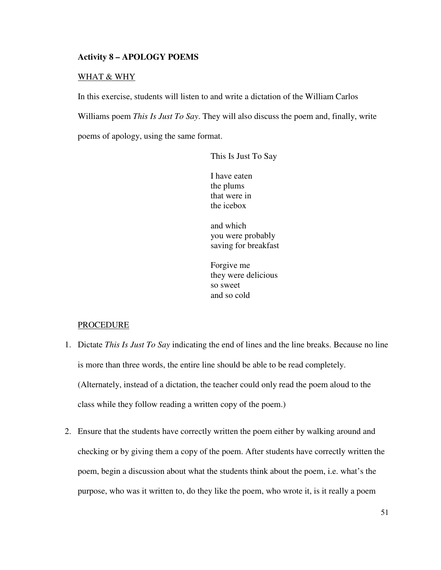## **Activity 8 – APOLOGY POEMS**

## WHAT & WHY

In this exercise, students will listen to and write a dictation of the William Carlos

Williams poem *This Is Just To Say*. They will also discuss the poem and, finally, write

poems of apology, using the same format.

This Is Just To Say

I have eaten the plums that were in the icebox

and which you were probably saving for breakfast

Forgive me they were delicious so sweet and so cold

## PROCEDURE

- 1. Dictate *This Is Just To Say* indicating the end of lines and the line breaks. Because no line is more than three words, the entire line should be able to be read completely. (Alternately, instead of a dictation, the teacher could only read the poem aloud to the class while they follow reading a written copy of the poem.)
- 2. Ensure that the students have correctly written the poem either by walking around and checking or by giving them a copy of the poem. After students have correctly written the poem, begin a discussion about what the students think about the poem, i.e. what's the purpose, who was it written to, do they like the poem, who wrote it, is it really a poem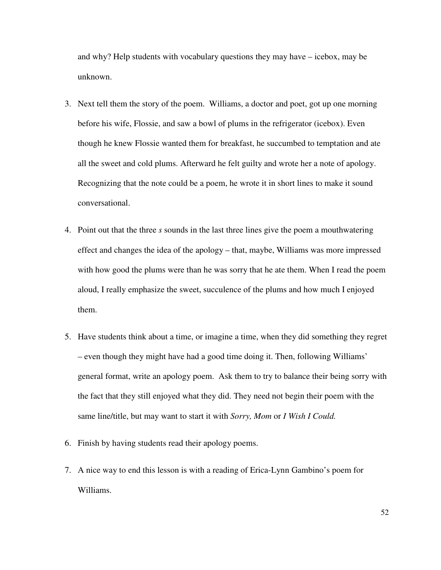and why? Help students with vocabulary questions they may have – icebox, may be unknown.

- 3. Next tell them the story of the poem. Williams, a doctor and poet, got up one morning before his wife, Flossie, and saw a bowl of plums in the refrigerator (icebox). Even though he knew Flossie wanted them for breakfast, he succumbed to temptation and ate all the sweet and cold plums. Afterward he felt guilty and wrote her a note of apology. Recognizing that the note could be a poem, he wrote it in short lines to make it sound conversational.
- 4. Point out that the three *s* sounds in the last three lines give the poem a mouthwatering effect and changes the idea of the apology – that, maybe, Williams was more impressed with how good the plums were than he was sorry that he ate them. When I read the poem aloud, I really emphasize the sweet, succulence of the plums and how much I enjoyed them.
- 5. Have students think about a time, or imagine a time, when they did something they regret – even though they might have had a good time doing it. Then, following Williams' general format, write an apology poem. Ask them to try to balance their being sorry with the fact that they still enjoyed what they did. They need not begin their poem with the same line/title, but may want to start it with *Sorry, Mom* or *I Wish I Could.*
- 6. Finish by having students read their apology poems.
- 7. A nice way to end this lesson is with a reading of Erica-Lynn Gambino's poem for Williams.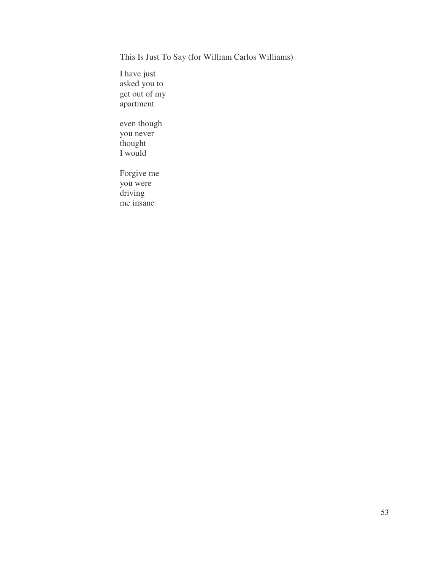This Is Just To Say (for William Carlos Williams)

I have just asked you to get out of my apartment

even though you never thought I would

Forgive me you were driving me insane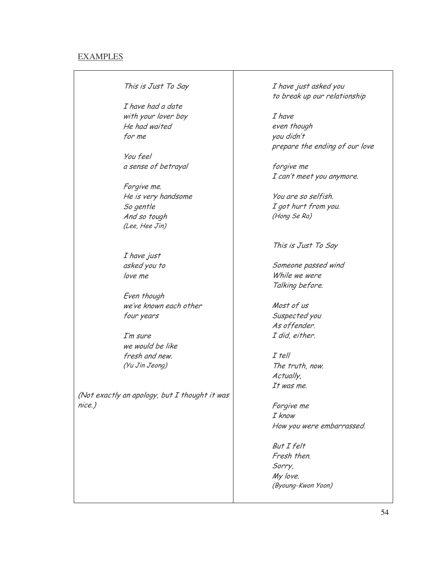# EXAMPLES

This is Just To Say

I have had a date with your lover boy He had waited for me

You feel a sense of betrayal

Forgive me. He is very handsome So gentle And so tough (Lee, Hee Jin)

I have just asked you to love me

Even though we've known each other four years

I'm sure we would be like fresh and new. (Yu Jin Jeong)

(Not exactly an apology, but I thought it was nice.)

I have just asked you to break up our relationship

I have even though you didn't prepare the ending of our love

forgive me I can't meet you anymore.

You are so selfish. I got hurt from you. (Hong Se Ra)

This is Just To Say

Someone passed wind While we were Talking before.

Most of us Suspected you As offender. I did, either.

I tell The truth, now. Actually, It was me.

Forgive me I know How you were embarrassed.

But I felt Fresh then. Sorry, My love. (Byoung-Kwon Yoon)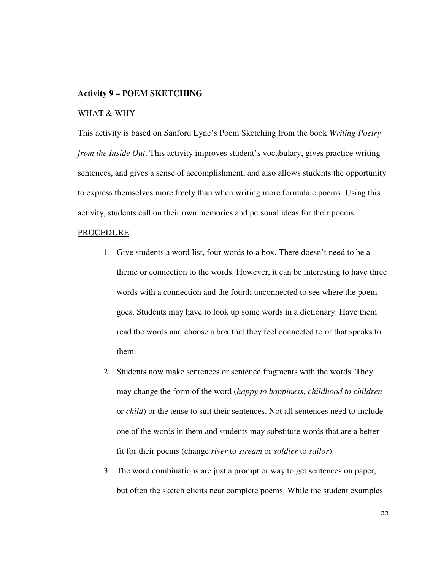### **Activity 9 – POEM SKETCHING**

#### WHAT & WHY

This activity is based on Sanford Lyne's Poem Sketching from the book *Writing Poetry from the Inside Out*. This activity improves student's vocabulary, gives practice writing sentences, and gives a sense of accomplishment, and also allows students the opportunity to express themselves more freely than when writing more formulaic poems. Using this activity, students call on their own memories and personal ideas for their poems.

### PROCEDURE

- 1. Give students a word list, four words to a box. There doesn't need to be a theme or connection to the words. However, it can be interesting to have three words with a connection and the fourth unconnected to see where the poem goes. Students may have to look up some words in a dictionary. Have them read the words and choose a box that they feel connected to or that speaks to them.
- 2. Students now make sentences or sentence fragments with the words. They may change the form of the word (*happy to happiness, childhood to children*  or *child*) or the tense to suit their sentences. Not all sentences need to include one of the words in them and students may substitute words that are a better fit for their poems (change *river* to *stream* or *soldier* to *sailor*).
- 3. The word combinations are just a prompt or way to get sentences on paper, but often the sketch elicits near complete poems. While the student examples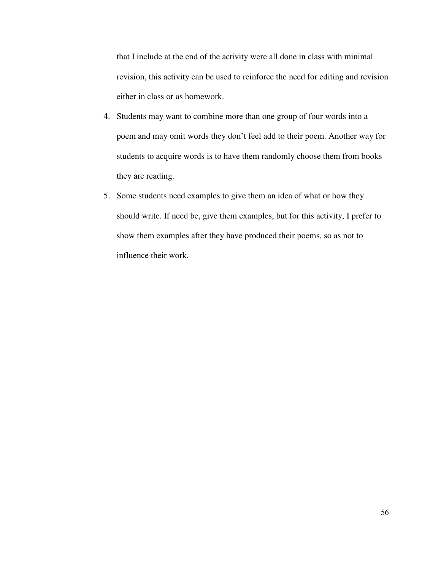that I include at the end of the activity were all done in class with minimal revision, this activity can be used to reinforce the need for editing and revision either in class or as homework.

- 4. Students may want to combine more than one group of four words into a poem and may omit words they don't feel add to their poem. Another way for students to acquire words is to have them randomly choose them from books they are reading.
- 5. Some students need examples to give them an idea of what or how they should write. If need be, give them examples, but for this activity, I prefer to show them examples after they have produced their poems, so as not to influence their work.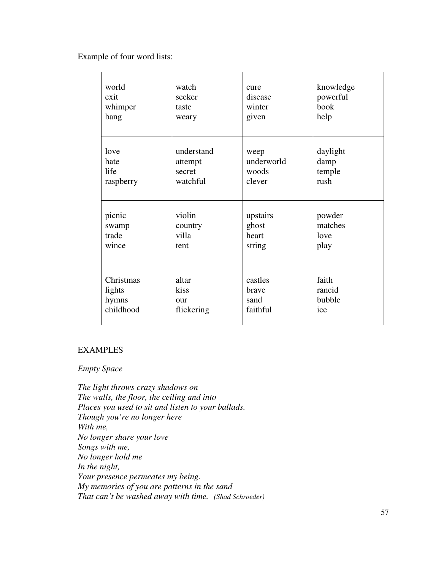Example of four word lists:

| world     | watch      | cure       | knowledge |
|-----------|------------|------------|-----------|
| exit      | seeker     | disease    | powerful  |
| whimper   | taste      | winter     | book      |
| bang      | weary      | given      | help      |
| love      | understand | weep       | daylight  |
| hate      | attempt    | underworld | damp      |
| life      | secret     | woods      | temple    |
| raspberry | watchful   | clever     | rush      |
| picnic    | violin     | upstairs   | powder    |
| swamp     | country    | ghost      | matches   |
| trade     | villa      | heart      | love      |
| wince     | tent       | string     | play      |
| Christmas | altar      | castles    | faith     |
| lights    | kiss       | brave      | rancid    |
| hymns     | our        | sand       | bubble    |
| childhood | flickering | faithful   | ice       |

# **EXAMPLES**

*Empty Space* 

*The light throws crazy shadows on The walls, the floor, the ceiling and into Places you used to sit and listen to your ballads. Though you're no longer here With me, No longer share your love Songs with me, No longer hold me In the night, Your presence permeates my being. My memories of you are patterns in the sand That can't be washed away with time. (Shad Schroeder)*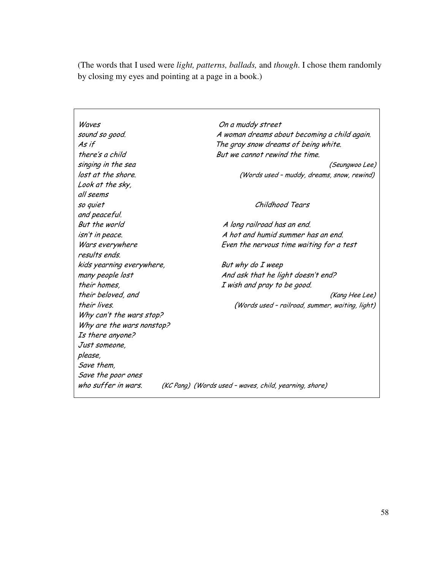(The words that I used were *light, patterns, ballads,* and *though*. I chose them randomly by closing my eyes and pointing at a page in a book.)

| <b>Waves</b>              | On a muddy street                                      |  |
|---------------------------|--------------------------------------------------------|--|
| sound so good.            | A woman dreams about becoming a child again.           |  |
| As if                     | The gray snow dreams of being white.                   |  |
| there's a child           | But we cannot rewind the time.                         |  |
| singing in the sea        | (Seungwoo Lee)                                         |  |
| lost at the shore.        | (Words used - muddy, dreams, snow, rewind)             |  |
| Look at the sky,          |                                                        |  |
| all seems                 |                                                        |  |
| so quiet                  | Childhood Tears                                        |  |
| and peaceful.             |                                                        |  |
| But the world             | A long railroad has an end.                            |  |
| isn't in peace.           | A hot and humid summer has an end.                     |  |
| Wars everywhere           | Even the nervous time waiting for a test               |  |
| results ends.             |                                                        |  |
| kids yearning everywhere, | But why do I weep                                      |  |
| many people lost          | And ask that he light doesn't end?                     |  |
| their homes,              | I wish and pray to be good.                            |  |
| their beloved, and        | (Kang Hee Lee)                                         |  |
| their lives.              | (Words used - railroad, summer, waiting, light)        |  |
| Why can't the wars stop?  |                                                        |  |
| Why are the wars nonstop? |                                                        |  |
| Is there anyone?          |                                                        |  |
| Just someone,             |                                                        |  |
| please,                   |                                                        |  |
| Save them,                |                                                        |  |
| Save the poor ones        |                                                        |  |
| who suffer in wars.       | (KC Pang) (Words used - waves, child, yearning, shore) |  |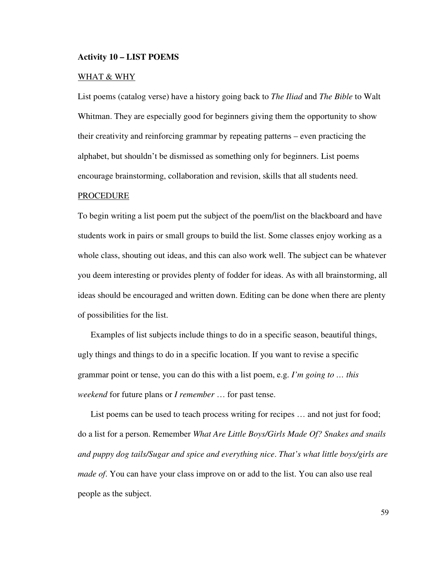### **Activity 10 – LIST POEMS**

#### WHAT & WHY

List poems (catalog verse) have a history going back to *The Iliad* and *The Bible* to Walt Whitman. They are especially good for beginners giving them the opportunity to show their creativity and reinforcing grammar by repeating patterns – even practicing the alphabet, but shouldn't be dismissed as something only for beginners. List poems encourage brainstorming, collaboration and revision, skills that all students need.

#### PROCEDURE

To begin writing a list poem put the subject of the poem/list on the blackboard and have students work in pairs or small groups to build the list. Some classes enjoy working as a whole class, shouting out ideas, and this can also work well. The subject can be whatever you deem interesting or provides plenty of fodder for ideas. As with all brainstorming, all ideas should be encouraged and written down. Editing can be done when there are plenty of possibilities for the list.

Examples of list subjects include things to do in a specific season, beautiful things, ugly things and things to do in a specific location. If you want to revise a specific grammar point or tense, you can do this with a list poem, e.g. *I'm going to … this weekend* for future plans or *I remember* … for past tense.

List poems can be used to teach process writing for recipes ... and not just for food; do a list for a person. Remember *What Are Little Boys/Girls Made Of? Snakes and snails and puppy dog tails/Sugar and spice and everything nice*. *That's what little boys/girls are made of*. You can have your class improve on or add to the list. You can also use real people as the subject.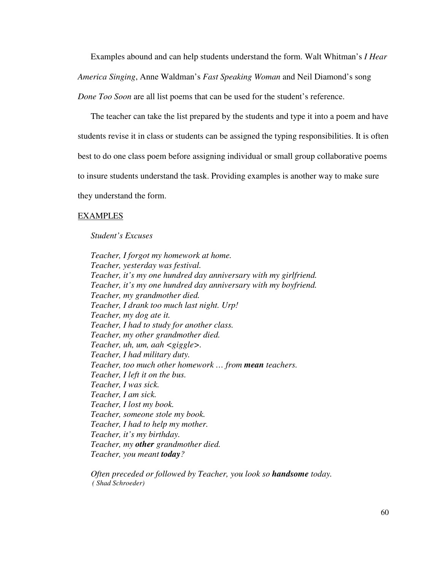Examples abound and can help students understand the form. Walt Whitman's *I Hear America Singing*, Anne Waldman's *Fast Speaking Woman* and Neil Diamond's song *Done Too Soon* are all list poems that can be used for the student's reference.

The teacher can take the list prepared by the students and type it into a poem and have students revise it in class or students can be assigned the typing responsibilities. It is often best to do one class poem before assigning individual or small group collaborative poems to insure students understand the task. Providing examples is another way to make sure they understand the form.

#### EXAMPLES

### *Student's Excuses*

*Teacher, I forgot my homework at home. Teacher, yesterday was festival. Teacher, it's my one hundred day anniversary with my girlfriend. Teacher, it's my one hundred day anniversary with my boyfriend. Teacher, my grandmother died. Teacher, I drank too much last night. Urp! Teacher, my dog ate it. Teacher, I had to study for another class. Teacher, my other grandmother died. Teacher, uh, um, aah <giggle>. Teacher, I had military duty. Teacher, too much other homework … from mean teachers. Teacher, I left it on the bus. Teacher, I was sick. Teacher, I am sick. Teacher, I lost my book. Teacher, someone stole my book. Teacher, I had to help my mother. Teacher, it's my birthday. Teacher, my other grandmother died. Teacher, you meant today?* 

*Often preceded or followed by Teacher, you look so handsome today. ( Shad Schroeder)*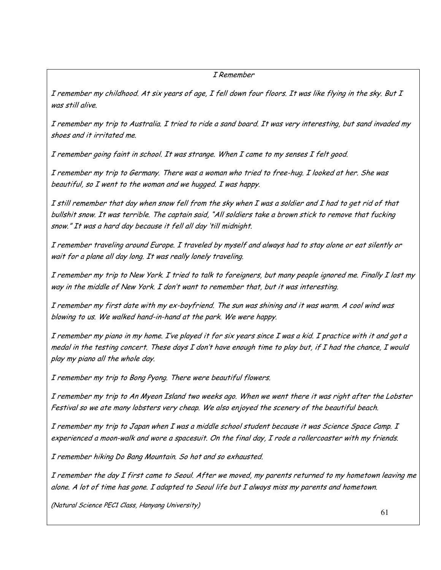## I Remember

I remember my childhood. At six years of age, I fell down four floors. It was like flying in the sky. But I was still alive.

I remember my trip to Australia. I tried to ride a sand board. It was very interesting, but sand invaded my shoes and it irritated me.

I remember going faint in school. It was strange. When I came to my senses I felt good.

I remember my trip to Germany. There was a woman who tried to free-hug. I looked at her. She was beautiful, so I went to the woman and we hugged. I was happy.

I still remember that day when snow fell from the sky when I was a soldier and I had to get rid of that bullshit snow. It was terrible. The captain said, "All soldiers take a brown stick to remove that fucking snow." It was a hard day because it fell all day 'till midnight.

I remember traveling around Europe. I traveled by myself and always had to stay alone or eat silently or wait for a plane all day long. It was really lonely traveling.

I remember my trip to New York. I tried to talk to foreigners, but many people ignored me. Finally I lost my way in the middle of New York. I don't want to remember that, but it was interesting.

I remember my first date with my ex-boyfriend. The sun was shining and it was warm. A cool wind was blowing to us. We walked hand-in-hand at the park. We were happy.

I remember my piano in my home. I've played it for six years since I was a kid. I practice with it and got a medal in the testing concert. These days I don't have enough time to play but, if I had the chance, I would play my piano all the whole day.

I remember my trip to Bong Pyong. There were beautiful flowers.

I remember my trip to An Myeon Island two weeks ago. When we went there it was right after the Lobster Festival so we ate many lobsters very cheap. We also enjoyed the scenery of the beautiful beach.

I remember my trip to Japan when I was a middle school student because it was Science Space Camp. I experienced a moon-walk and wore a spacesuit. On the final day, I rode a rollercoaster with my friends.

I remember hiking Do Bang Mountain. So hot and so exhausted.

I remember the day I first came to Seoul. After we moved, my parents returned to my hometown leaving me alone. A lot of time has gone. I adapted to Seoul life but I always miss my parents and hometown.

(Natural Science PEC1 Class, Hanyang University)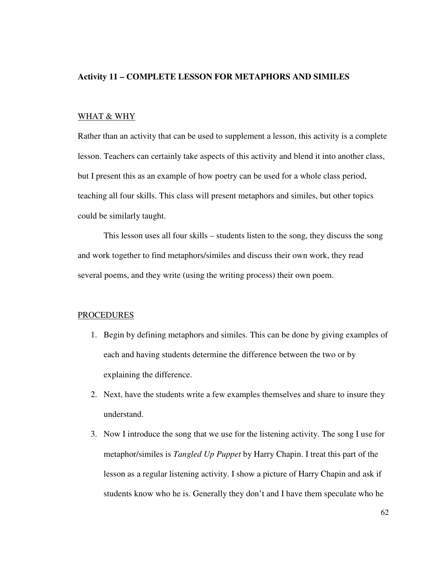## **Activity 11 – COMPLETE LESSON FOR METAPHORS AND SIMILES**

### WHAT & WHY

Rather than an activity that can be used to supplement a lesson, this activity is a complete lesson. Teachers can certainly take aspects of this activity and blend it into another class, but I present this as an example of how poetry can be used for a whole class period, teaching all four skills. This class will present metaphors and similes, but other topics could be similarly taught.

This lesson uses all four skills – students listen to the song, they discuss the song and work together to find metaphors/similes and discuss their own work, they read several poems, and they write (using the writing process) their own poem.

#### PROCEDURES

- 1. Begin by defining metaphors and similes. This can be done by giving examples of each and having students determine the difference between the two or by explaining the difference.
- 2. Next, have the students write a few examples themselves and share to insure they understand.
- 3. Now I introduce the song that we use for the listening activity. The song I use for metaphor/similes is *Tangled Up Puppet* by Harry Chapin. I treat this part of the lesson as a regular listening activity. I show a picture of Harry Chapin and ask if students know who he is. Generally they don't and I have them speculate who he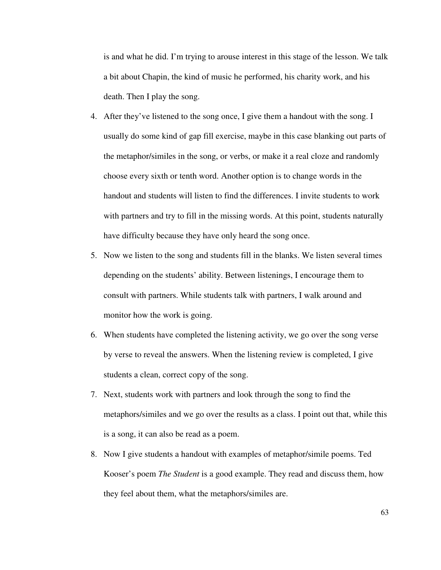is and what he did. I'm trying to arouse interest in this stage of the lesson. We talk a bit about Chapin, the kind of music he performed, his charity work, and his death. Then I play the song.

- 4. After they've listened to the song once, I give them a handout with the song. I usually do some kind of gap fill exercise, maybe in this case blanking out parts of the metaphor/similes in the song, or verbs, or make it a real cloze and randomly choose every sixth or tenth word. Another option is to change words in the handout and students will listen to find the differences. I invite students to work with partners and try to fill in the missing words. At this point, students naturally have difficulty because they have only heard the song once.
- 5. Now we listen to the song and students fill in the blanks. We listen several times depending on the students' ability. Between listenings, I encourage them to consult with partners. While students talk with partners, I walk around and monitor how the work is going.
- 6. When students have completed the listening activity, we go over the song verse by verse to reveal the answers. When the listening review is completed, I give students a clean, correct copy of the song.
- 7. Next, students work with partners and look through the song to find the metaphors/similes and we go over the results as a class. I point out that, while this is a song, it can also be read as a poem.
- 8. Now I give students a handout with examples of metaphor/simile poems. Ted Kooser's poem *The Student* is a good example. They read and discuss them, how they feel about them, what the metaphors/similes are.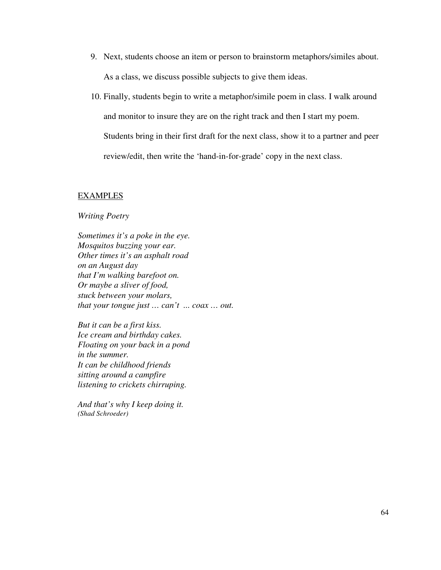- 9. Next, students choose an item or person to brainstorm metaphors/similes about. As a class, we discuss possible subjects to give them ideas.
- 10. Finally, students begin to write a metaphor/simile poem in class. I walk around and monitor to insure they are on the right track and then I start my poem. Students bring in their first draft for the next class, show it to a partner and peer review/edit, then write the 'hand-in-for-grade' copy in the next class.

# **EXAMPLES**

*Writing Poetry* 

*Sometimes it's a poke in the eye. Mosquitos buzzing your ear. Other times it's an asphalt road on an August day that I'm walking barefoot on. Or maybe a sliver of food, stuck between your molars, that your tongue just … can't ... coax … out.* 

*But it can be a first kiss. Ice cream and birthday cakes. Floating on your back in a pond in the summer. It can be childhood friends sitting around a campfire listening to crickets chirruping.* 

*And that's why I keep doing it. (Shad Schroeder)*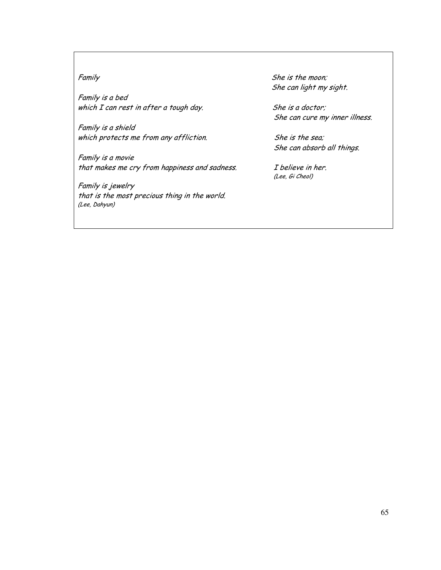Family is a bed which I can rest in after a tough day. She is a doctor;

Family is a shield which protects me from any affliction. She is the sea;

Family is a movie that makes me cry from happiness and sadness. I believe in her.

Family is jewelry that is the most precious thing in the world. (Lee, Dahyun)

Family Family She is the moon; She can light my sight.

She can cure my inner illness.

She can absorb all things.

(Lee, Gi Cheol)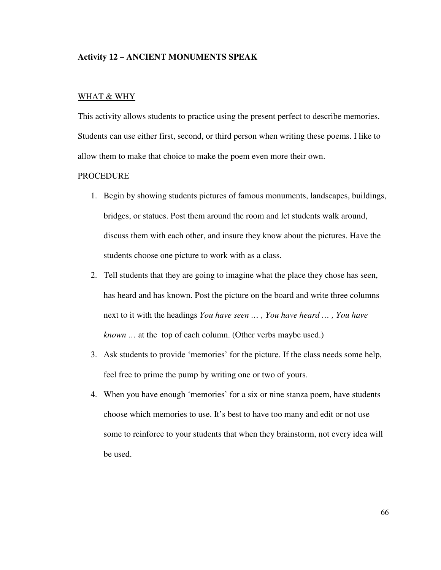#### **Activity 12 – ANCIENT MONUMENTS SPEAK**

#### WHAT & WHY

This activity allows students to practice using the present perfect to describe memories. Students can use either first, second, or third person when writing these poems. I like to allow them to make that choice to make the poem even more their own.

#### PROCEDURE

- 1. Begin by showing students pictures of famous monuments, landscapes, buildings, bridges, or statues. Post them around the room and let students walk around, discuss them with each other, and insure they know about the pictures. Have the students choose one picture to work with as a class.
- 2. Tell students that they are going to imagine what the place they chose has seen, has heard and has known. Post the picture on the board and write three columns next to it with the headings *You have seen … , You have heard … , You have known …* at the top of each column. (Other verbs maybe used.)
- 3. Ask students to provide 'memories' for the picture. If the class needs some help, feel free to prime the pump by writing one or two of yours.
- 4. When you have enough 'memories' for a six or nine stanza poem, have students choose which memories to use. It's best to have too many and edit or not use some to reinforce to your students that when they brainstorm, not every idea will be used.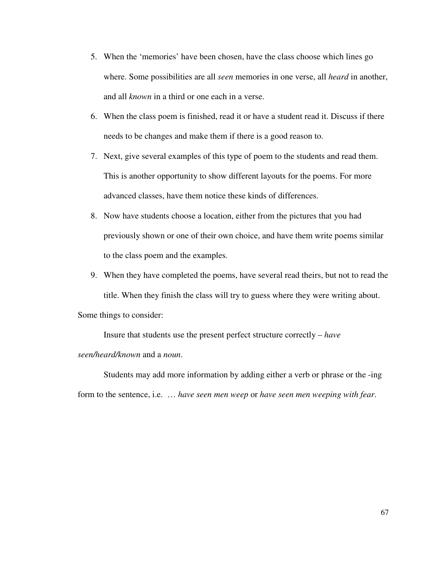- 5. When the 'memories' have been chosen, have the class choose which lines go where. Some possibilities are all *seen* memories in one verse, all *heard* in another, and all *known* in a third or one each in a verse.
- 6. When the class poem is finished, read it or have a student read it. Discuss if there needs to be changes and make them if there is a good reason to.
- 7. Next, give several examples of this type of poem to the students and read them. This is another opportunity to show different layouts for the poems. For more advanced classes, have them notice these kinds of differences.
- 8. Now have students choose a location, either from the pictures that you had previously shown or one of their own choice, and have them write poems similar to the class poem and the examples.
- 9. When they have completed the poems, have several read theirs, but not to read the title. When they finish the class will try to guess where they were writing about. Some things to consider:

 Insure that students use the present perfect structure correctly – *have seen/heard/known* and a *noun*.

 Students may add more information by adding either a verb or phrase or the -ing form to the sentence, i.e. … *have seen men weep* or *have seen men weeping with fear*.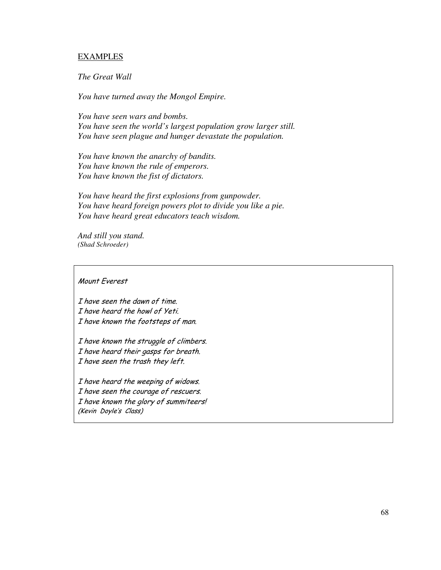#### EXAMPLES

*The Great Wall* 

*You have turned away the Mongol Empire.* 

*You have seen wars and bombs. You have seen the world's largest population grow larger still. You have seen plague and hunger devastate the population.* 

*You have known the anarchy of bandits. You have known the rule of emperors. You have known the fist of dictators.* 

*You have heard the first explosions from gunpowder. You have heard foreign powers plot to divide you like a pie. You have heard great educators teach wisdom.* 

*And still you stand. (Shad Schroeder)* 

#### Mount Everest

I have seen the dawn of time. I have heard the howl of Yeti. I have known the footsteps of man.

I have known the struggle of climbers. I have heard their gasps for breath. I have seen the trash they left.

I have heard the weeping of widows. I have seen the courage of rescuers. I have known the glory of summiteers! (Kevin Doyle's Class)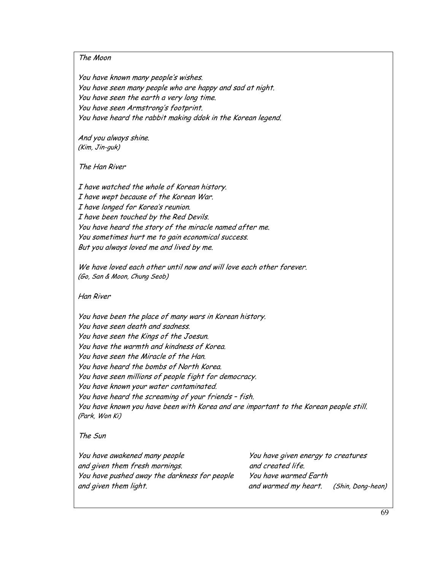# The Moon

You have known many people's wishes. You have seen many people who are happy and sad at night. You have seen the earth a very long time. You have seen Armstrong's footprint. You have heard the rabbit making ddok in the Korean legend.

And you always shine. (Kim, Jin-guk)

The Han River

I have watched the whole of Korean history. I have wept because of the Korean War. I have longed for Korea's reunion. I have been touched by the Red Devils. You have heard the story of the miracle named after me. You sometimes hurt me to gain economical success. But you always loved me and lived by me.

We have loved each other until now and will love each other forever. (Go, San & Moon, Chung Seob)

Han River

You have been the place of many wars in Korean history. You have seen death and sadness. You have seen the Kings of the Joesun. You have the warmth and kindness of Korea. You have seen the Miracle of the Han. You have heard the bombs of North Korea. You have seen millions of people fight for democracy. You have known your water contaminated. You have heard the screaming of your friends – fish. You have known you have been with Korea and are important to the Korean people still. (Park, Won Ki)

The Sun

You have awakened many people You have given energy to creatures and given them fresh mornings. The same of the created life. You have pushed away the darkness for people You have warmed Earth and given them light. and warmed my heart. (Shin, Dong-heon)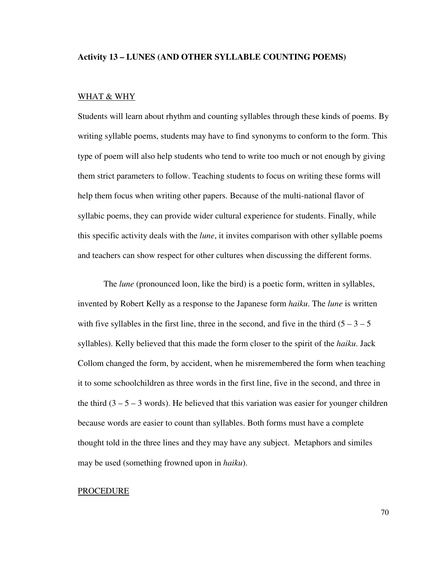### **Activity 13 – LUNES (AND OTHER SYLLABLE COUNTING POEMS)**

#### WHAT & WHY

Students will learn about rhythm and counting syllables through these kinds of poems. By writing syllable poems, students may have to find synonyms to conform to the form. This type of poem will also help students who tend to write too much or not enough by giving them strict parameters to follow. Teaching students to focus on writing these forms will help them focus when writing other papers. Because of the multi-national flavor of syllabic poems, they can provide wider cultural experience for students. Finally, while this specific activity deals with the *lune*, it invites comparison with other syllable poems and teachers can show respect for other cultures when discussing the different forms.

The *lune* (pronounced loon, like the bird) is a poetic form, written in syllables, invented by Robert Kelly as a response to the Japanese form *haiku*. The *lune* is written with five syllables in the first line, three in the second, and five in the third  $(5 - 3 - 5)$ syllables). Kelly believed that this made the form closer to the spirit of the *haiku*. Jack Collom changed the form, by accident, when he misremembered the form when teaching it to some schoolchildren as three words in the first line, five in the second, and three in the third  $(3 - 5 - 3$  words). He believed that this variation was easier for younger children because words are easier to count than syllables. Both forms must have a complete thought told in the three lines and they may have any subject. Metaphors and similes may be used (something frowned upon in *haiku*).

# PROCEDURE

70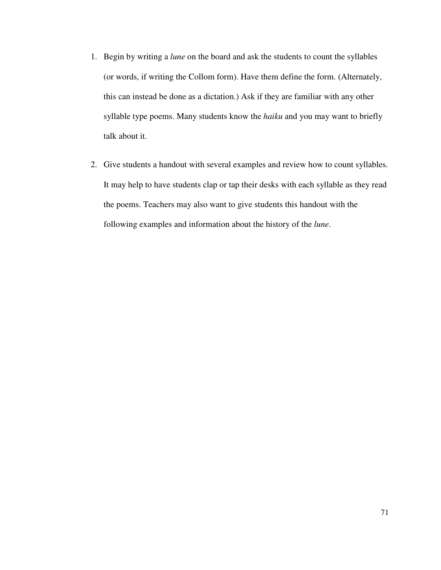- 1. Begin by writing a *lune* on the board and ask the students to count the syllables (or words, if writing the Collom form). Have them define the form. (Alternately, this can instead be done as a dictation.) Ask if they are familiar with any other syllable type poems. Many students know the *haiku* and you may want to briefly talk about it.
- 2. Give students a handout with several examples and review how to count syllables. It may help to have students clap or tap their desks with each syllable as they read the poems. Teachers may also want to give students this handout with the following examples and information about the history of the *lune*.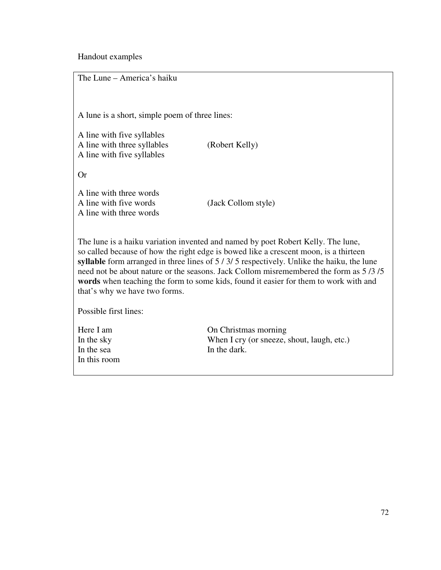Handout examples

The Lune – America's haiku A lune is a short, simple poem of three lines: A line with five syllables A line with three syllables (Robert Kelly) A line with five syllables Or A line with three words A line with five words (Jack Collom style) A line with three words The lune is a haiku variation invented and named by poet Robert Kelly. The lune,

so called because of how the right edge is bowed like a crescent moon, is a thirteen **syllable** form arranged in three lines of 5 / 3/ 5 respectively. Unlike the haiku, the lune need not be about nature or the seasons. Jack Collom misremembered the form as 5 /3 /5 **words** when teaching the form to some kids, found it easier for them to work with and that's why we have two forms.

Possible first lines:

In this room

Here I am On Christmas morning In the sky When I cry (or sneeze, shout, laugh, etc.) In the sea In the dark.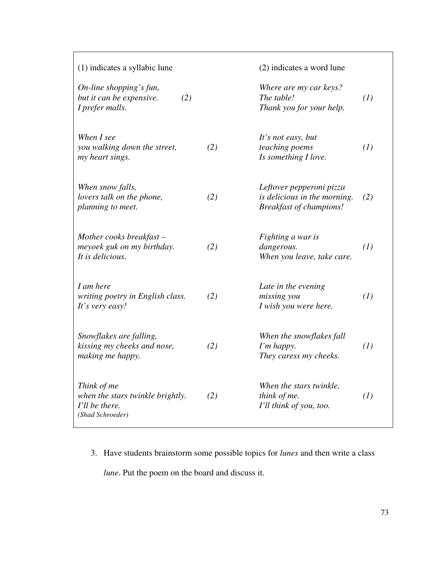| (1) indicates a syllabic lune                                                         |     | (2) indicates a word lune                                                                  |     |
|---------------------------------------------------------------------------------------|-----|--------------------------------------------------------------------------------------------|-----|
| On-line shopping's fun,<br>but it can be expensive.<br>I prefer malls.                | (2) | Where are my car keys?<br>The table!<br>Thank you for your help.                           | (1) |
| When I see<br>you walking down the street,<br>my heart sings.                         | (2) | It's not easy, but<br>teaching poems<br>Is something I love.                               | (1) |
| When snow falls,<br>lovers talk on the phone,<br>planning to meet.                    | (2) | Leftover pepperoni pizza<br>is delicious in the morning.<br><b>Breakfast of champions!</b> | (2) |
| Mother cooks breakfast-<br>meyoek guk on my birthday.<br>It is delicious.             | (2) | Fighting a war is<br>dangerous.<br>When you leave, take care.                              | (I) |
| I am here<br>writing poetry in English class.<br>It's very easy!                      | (2) | Late in the evening<br>missing you<br>I wish you were here.                                | (I) |
| Snowflakes are falling,<br>kissing my cheeks and nose,<br>making me happy.            | (2) | When the snowflakes fall<br>I'm happy.<br>They caress my cheeks.                           | (I) |
| Think of me<br>when the stars twinkle brightly.<br>I'll be there.<br>(Shad Schroeder) | (2) | When the stars twinkle,<br>think of me.<br>I'll think of you, too.                         | (I) |

3. Have students brainstorm some possible topics for *lunes* and then write a class

*lune*. Put the poem on the board and discuss it.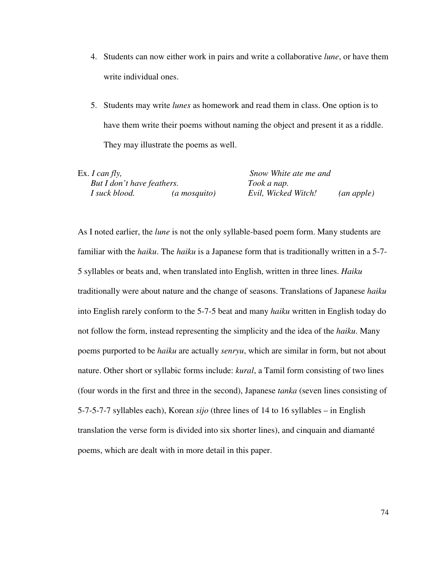- 4. Students can now either work in pairs and write a collaborative *lune*, or have them write individual ones.
- 5. Students may write *lunes* as homework and read them in class. One option is to have them write their poems without naming the object and present it as a riddle. They may illustrate the poems as well.

| Ex. I can fly,             |              | Snow White ate me and |                |
|----------------------------|--------------|-----------------------|----------------|
| But I don't have feathers. |              | Took a nap.           |                |
| I suck blood.              | (a mosquito) | Evil, Wicked Witch!   | $(an \napple)$ |

As I noted earlier, the *lune* is not the only syllable-based poem form. Many students are familiar with the *haiku*. The *haiku* is a Japanese form that is traditionally written in a 5-7- 5 syllables or beats and, when translated into English, written in three lines. *Haiku* traditionally were about nature and the change of seasons. Translations of Japanese *haiku* into English rarely conform to the 5-7-5 beat and many *haiku* written in English today do not follow the form, instead representing the simplicity and the idea of the *haiku*. Many poems purported to be *haiku* are actually *senryu*, which are similar in form, but not about nature. Other short or syllabic forms include: *kural*, a Tamil form consisting of two lines (four words in the first and three in the second), Japanese *tanka* (seven lines consisting of 5-7-5-7-7 syllables each), Korean *sijo* (three lines of 14 to 16 syllables – in English translation the verse form is divided into six shorter lines), and cinquain and diamanté poems, which are dealt with in more detail in this paper.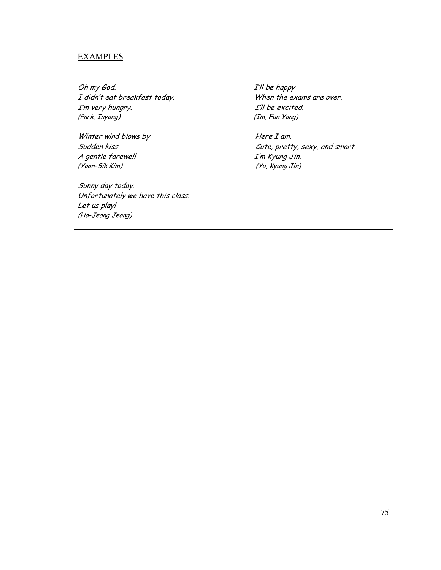# **EXAMPLES**

Oh my God.<br>I didn't eat breakfast today. The happy shows are over. I didn't eat breakfast today. I'm very hungry.<br>(Park, Inyong) (Park, Inyong)

Winter wind blows by example the Here I am. A gentle farewell **A** gentle farewell (Yoon-Sik Kim) (Yu, Kyung Jin)

Sunny day today. Unfortunately we have this class. Let us play! (Ho-Jeong Jeong)

(Im, Eun Yong)

Sudden kiss Cute, pretty, sexy, and smart.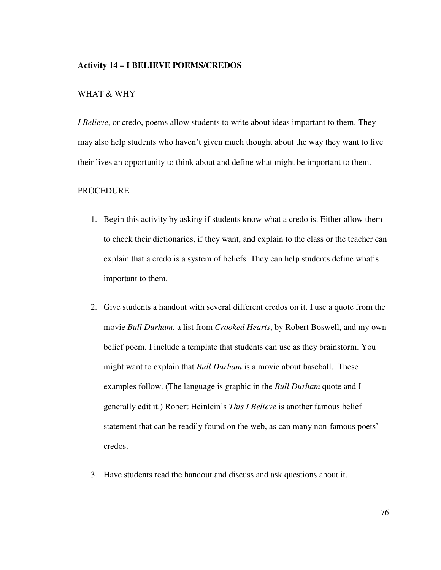#### **Activity 14 – I BELIEVE POEMS/CREDOS**

## WHAT & WHY

*I Believe*, or credo, poems allow students to write about ideas important to them. They may also help students who haven't given much thought about the way they want to live their lives an opportunity to think about and define what might be important to them.

#### PROCEDURE

- 1. Begin this activity by asking if students know what a credo is. Either allow them to check their dictionaries, if they want, and explain to the class or the teacher can explain that a credo is a system of beliefs. They can help students define what's important to them.
- 2. Give students a handout with several different credos on it. I use a quote from the movie *Bull Durham*, a list from *Crooked Hearts*, by Robert Boswell, and my own belief poem. I include a template that students can use as they brainstorm. You might want to explain that *Bull Durham* is a movie about baseball. These examples follow. (The language is graphic in the *Bull Durham* quote and I generally edit it.) Robert Heinlein's *This I Believe* is another famous belief statement that can be readily found on the web, as can many non-famous poets' credos.
- 3. Have students read the handout and discuss and ask questions about it.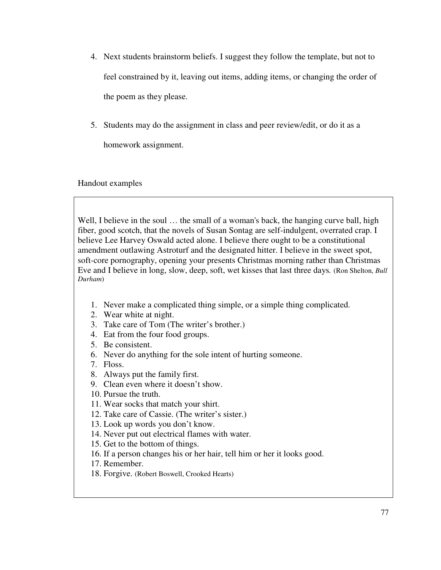- 4. Next students brainstorm beliefs. I suggest they follow the template, but not to feel constrained by it, leaving out items, adding items, or changing the order of the poem as they please.
- 5. Students may do the assignment in class and peer review/edit, or do it as a

homework assignment.

Handout examples

Well, I believe in the soul ... the small of a woman's back, the hanging curve ball, high fiber, good scotch, that the novels of Susan Sontag are self-indulgent, overrated crap. I believe Lee Harvey Oswald acted alone. I believe there ought to be a constitutional amendment outlawing Astroturf and the designated hitter. I believe in the sweet spot, soft-core pornography, opening your presents Christmas morning rather than Christmas Eve and I believe in long, slow, deep, soft, wet kisses that last three days*.* (Ron Shelton, *Bull Durham*)

- 1. Never make a complicated thing simple, or a simple thing complicated.
- 2. Wear white at night.
- 3. Take care of Tom (The writer's brother.)
- 4. Eat from the four food groups.
- 5. Be consistent.
- 6. Never do anything for the sole intent of hurting someone.
- 7. Floss.
- 8. Always put the family first.
- 9. Clean even where it doesn't show.
- 10. Pursue the truth.
- 11. Wear socks that match your shirt.
- 12. Take care of Cassie. (The writer's sister.)
- 13. Look up words you don't know.
- 14. Never put out electrical flames with water.
- 15. Get to the bottom of things.
- 16. If a person changes his or her hair, tell him or her it looks good.
- 17. Remember.
- 18. Forgive. (Robert Boswell, Crooked Hearts)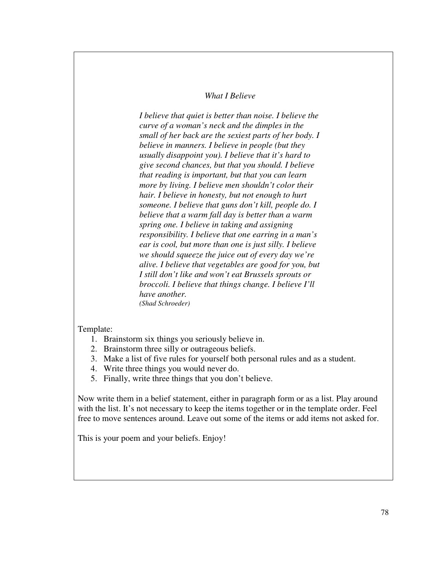# *What I Believe*

*I believe that quiet is better than noise. I believe the curve of a woman's neck and the dimples in the small of her back are the sexiest parts of her body. I believe in manners. I believe in people (but they usually disappoint you). I believe that it's hard to give second chances, but that you should. I believe that reading is important, but that you can learn more by living. I believe men shouldn't color their hair. I believe in honesty, but not enough to hurt someone. I believe that guns don't kill, people do. I believe that a warm fall day is better than a warm spring one. I believe in taking and assigning responsibility. I believe that one earring in a man's ear is cool, but more than one is just silly. I believe we should squeeze the juice out of every day we're alive. I believe that vegetables are good for you, but I still don't like and won't eat Brussels sprouts or broccoli. I believe that things change. I believe I'll have another. (Shad Schroeder)* 

Template:

- 1. Brainstorm six things you seriously believe in.
- 2. Brainstorm three silly or outrageous beliefs.
- 3. Make a list of five rules for yourself both personal rules and as a student.
- 4. Write three things you would never do.
- 5. Finally, write three things that you don't believe.

Now write them in a belief statement, either in paragraph form or as a list. Play around with the list. It's not necessary to keep the items together or in the template order. Feel free to move sentences around. Leave out some of the items or add items not asked for.

This is your poem and your beliefs. Enjoy!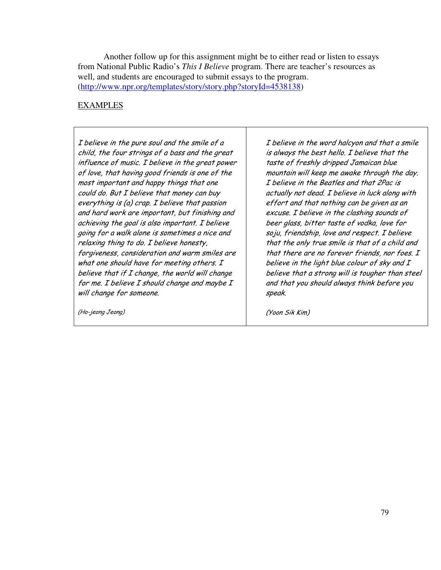Another follow up for this assignment might be to either read or listen to essays from National Public Radio's *This I Believe* program. There are teacher's resources as well, and students are encouraged to submit essays to the program. (http://www.npr.org/templates/story/story.php?storyId=4538138)

# EXAMPLES

I believe in the pure soul and the smile of a child, the four strings of a bass and the great influence of music. I believe in the great power of love, that having good friends is one of the most important and happy things that one could do. But I believe that money can buy everything is (a) crap. I believe that passion and hard work are important, but finishing and achieving the goal is also important. I believe going for a walk alone is sometimes a nice and relaxing thing to do. I believe honesty, forgiveness, consideration and warm smiles are what one should have for meeting others. I believe that if I change, the world will change for me. I believe I should change and maybe I will change for someone.

(Ho-jeong Jeong)

I believe in the word halcyon and that a smile is always the best hello. I believe that the taste of freshly dripped Jamaican blue mountain will keep me awake through the day. I believe in the Beatles and that 2Pac is actually not dead. I believe in luck along with effort and that nothing can be given as an excuse. I believe in the clashing sounds of beer glass, bitter taste of vodka, love for soju, friendship, love and respect. I believe that the only true smile is that of a child and that there are no forever friends, nor foes. I believe in the light blue colour of sky and I believe that a strong will is tougher than steel and that you should always think before you speak.

(Yoon Sik Kim)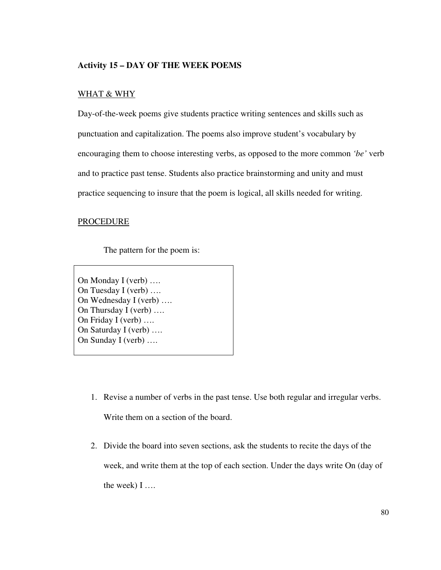# **Activity 15 – DAY OF THE WEEK POEMS**

#### WHAT & WHY

Day-of-the-week poems give students practice writing sentences and skills such as punctuation and capitalization. The poems also improve student's vocabulary by encouraging them to choose interesting verbs, as opposed to the more common *'be'* verb and to practice past tense. Students also practice brainstorming and unity and must practice sequencing to insure that the poem is logical, all skills needed for writing.

#### **PROCEDURE**

The pattern for the poem is:

On Monday I (verb) …. On Tuesday I (verb) …. On Wednesday I (verb) …. On Thursday I (verb) …. On Friday I (verb) …. On Saturday I (verb) …. On Sunday I (verb) ….

- 1. Revise a number of verbs in the past tense. Use both regular and irregular verbs. Write them on a section of the board.
- 2. Divide the board into seven sections, ask the students to recite the days of the week, and write them at the top of each section. Under the days write On (day of the week) I ….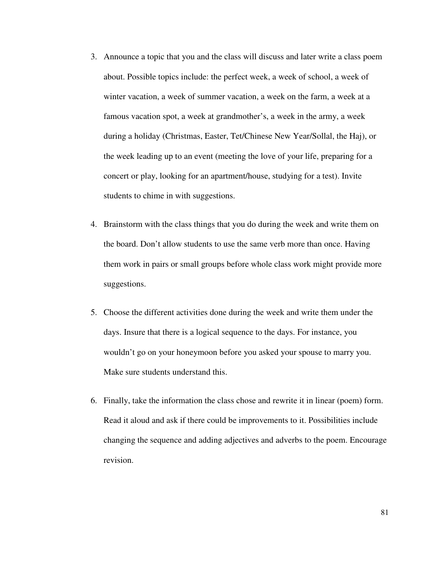- 3. Announce a topic that you and the class will discuss and later write a class poem about. Possible topics include: the perfect week, a week of school, a week of winter vacation, a week of summer vacation, a week on the farm, a week at a famous vacation spot, a week at grandmother's, a week in the army, a week during a holiday (Christmas, Easter, Tet/Chinese New Year/Sollal, the Haj), or the week leading up to an event (meeting the love of your life, preparing for a concert or play, looking for an apartment/house, studying for a test). Invite students to chime in with suggestions.
- 4. Brainstorm with the class things that you do during the week and write them on the board. Don't allow students to use the same verb more than once. Having them work in pairs or small groups before whole class work might provide more suggestions.
- 5. Choose the different activities done during the week and write them under the days. Insure that there is a logical sequence to the days. For instance, you wouldn't go on your honeymoon before you asked your spouse to marry you. Make sure students understand this.
- 6. Finally, take the information the class chose and rewrite it in linear (poem) form. Read it aloud and ask if there could be improvements to it. Possibilities include changing the sequence and adding adjectives and adverbs to the poem. Encourage revision.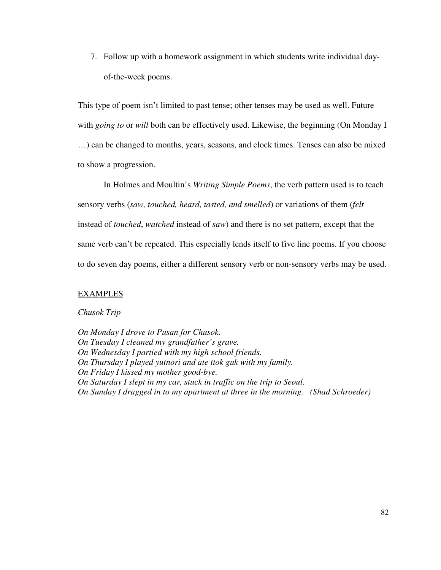7. Follow up with a homework assignment in which students write individual dayof-the-week poems.

This type of poem isn't limited to past tense; other tenses may be used as well. Future with *going to* or *will* both can be effectively used. Likewise, the beginning (On Monday I …) can be changed to months, years, seasons, and clock times. Tenses can also be mixed to show a progression.

 In Holmes and Moultin's *Writing Simple Poems*, the verb pattern used is to teach sensory verbs (*saw, touched, heard, tasted, and smelled*) or variations of them (*felt* instead of *touched*, *watched* instead of *saw*) and there is no set pattern, except that the same verb can't be repeated. This especially lends itself to five line poems. If you choose to do seven day poems, either a different sensory verb or non-sensory verbs may be used.

#### EXAMPLES

### *Chusok Trip*

*On Monday I drove to Pusan for Chusok. On Tuesday I cleaned my grandfather's grave. On Wednesday I partied with my high school friends. On Thursday I played yutnori and ate ttok guk with my family. On Friday I kissed my mother good-bye. On Saturday I slept in my car, stuck in traffic on the trip to Seoul. On Sunday I dragged in to my apartment at three in the morning. (Shad Schroeder)*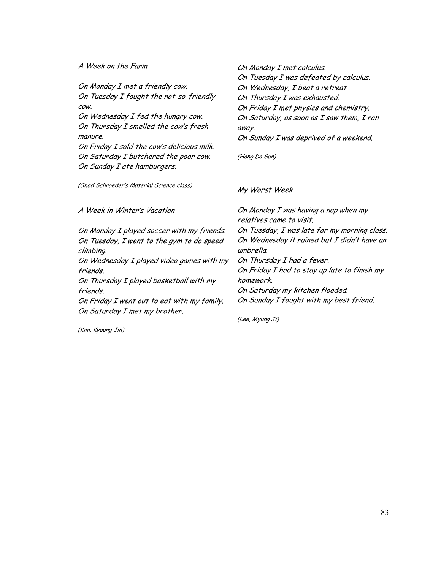| A Week on the Farm                          | On Monday I met calculus.                    |
|---------------------------------------------|----------------------------------------------|
|                                             | On Tuesday I was defeated by calculus.       |
| On Monday I met a friendly cow.             | On Wednesday, I beat a retreat.              |
| On Tuesday I fought the not-so-friendly     | On Thursday I was exhausted.                 |
| COW.                                        | On Friday I met physics and chemistry.       |
| On Wednesday I fed the hungry cow.          | On Saturday, as soon as I saw them, I ran    |
| On Thursday I smelled the cow's fresh       | away.                                        |
| manure.                                     | On Sunday I was deprived of a weekend.       |
| On Friday I sold the cow's delicious milk.  |                                              |
| On Saturday I butchered the poor cow.       | (Hong Do Sun)                                |
| On Sunday I ate hamburgers.                 |                                              |
|                                             |                                              |
| (Shad Schroeder's Material Science class)   | My Worst Week                                |
|                                             |                                              |
| A Week in Winter's Vacation                 | On Monday I was having a nap when my         |
|                                             | relatives came to visit.                     |
|                                             | On Tuesday, I was late for my morning class. |
| On Monday I played soccer with my friends.  | On Wednesday it rained but I didn't have an  |
| On Tuesday, I went to the gym to do speed   | umbrella.                                    |
| climbing.                                   |                                              |
| On Wednesday I played video games with my   | On Thursday I had a fever.                   |
| friends.                                    | On Friday I had to stay up late to finish my |
| On Thursday I played basketball with my     | homework.                                    |
| friends.                                    | On Saturday my kitchen flooded.              |
| On Friday I went out to eat with my family. | On Sunday I fought with my best friend.      |
| On Saturday I met my brother.               |                                              |
|                                             | (Lee, Myung Ji)                              |
| (Kim, Kyoung Jin)                           |                                              |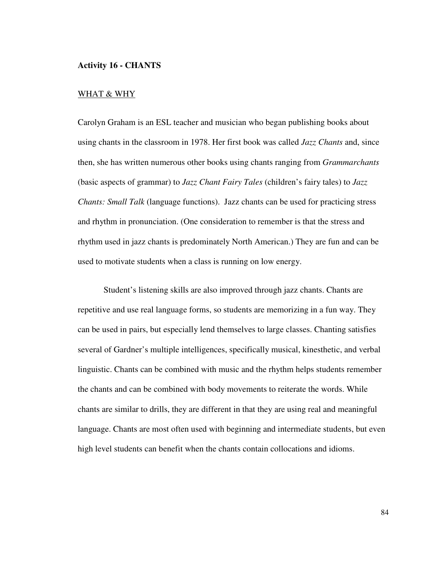#### **Activity 16 - CHANTS**

#### WHAT & WHY

Carolyn Graham is an ESL teacher and musician who began publishing books about using chants in the classroom in 1978. Her first book was called *Jazz Chants* and, since then, she has written numerous other books using chants ranging from *Grammarchants* (basic aspects of grammar) to *Jazz Chant Fairy Tales* (children's fairy tales) to *Jazz Chants: Small Talk* (language functions). Jazz chants can be used for practicing stress and rhythm in pronunciation. (One consideration to remember is that the stress and rhythm used in jazz chants is predominately North American.) They are fun and can be used to motivate students when a class is running on low energy.

Student's listening skills are also improved through jazz chants. Chants are repetitive and use real language forms, so students are memorizing in a fun way. They can be used in pairs, but especially lend themselves to large classes. Chanting satisfies several of Gardner's multiple intelligences, specifically musical, kinesthetic, and verbal linguistic. Chants can be combined with music and the rhythm helps students remember the chants and can be combined with body movements to reiterate the words. While chants are similar to drills, they are different in that they are using real and meaningful language. Chants are most often used with beginning and intermediate students, but even high level students can benefit when the chants contain collocations and idioms.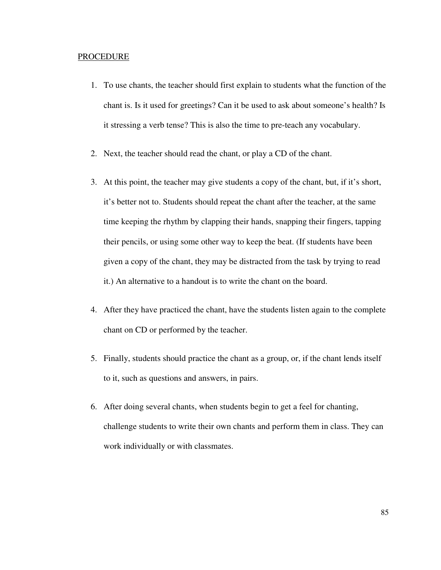# PROCEDURE

- 1. To use chants, the teacher should first explain to students what the function of the chant is. Is it used for greetings? Can it be used to ask about someone's health? Is it stressing a verb tense? This is also the time to pre-teach any vocabulary.
- 2. Next, the teacher should read the chant, or play a CD of the chant.
- 3. At this point, the teacher may give students a copy of the chant, but, if it's short, it's better not to. Students should repeat the chant after the teacher, at the same time keeping the rhythm by clapping their hands, snapping their fingers, tapping their pencils, or using some other way to keep the beat. (If students have been given a copy of the chant, they may be distracted from the task by trying to read it.) An alternative to a handout is to write the chant on the board.
- 4. After they have practiced the chant, have the students listen again to the complete chant on CD or performed by the teacher.
- 5. Finally, students should practice the chant as a group, or, if the chant lends itself to it, such as questions and answers, in pairs.
- 6. After doing several chants, when students begin to get a feel for chanting, challenge students to write their own chants and perform them in class. They can work individually or with classmates.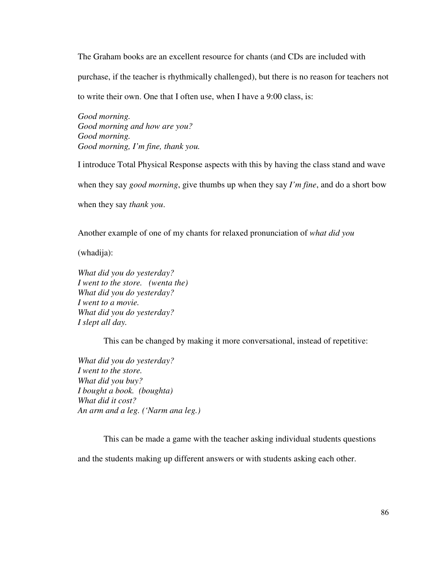The Graham books are an excellent resource for chants (and CDs are included with

purchase, if the teacher is rhythmically challenged), but there is no reason for teachers not

to write their own. One that I often use, when I have a 9:00 class, is:

*Good morning. Good morning and how are you? Good morning. Good morning, I'm fine, thank you.* 

I introduce Total Physical Response aspects with this by having the class stand and wave

when they say *good morning*, give thumbs up when they say *I'm fine*, and do a short bow

when they say *thank you*.

Another example of one of my chants for relaxed pronunciation of *what did you*

(whadija):

*What did you do yesterday? I went to the store. (wenta the) What did you do yesterday? I went to a movie. What did you do yesterday? I slept all day.* 

This can be changed by making it more conversational, instead of repetitive:

*What did you do yesterday? I went to the store. What did you buy? I bought a book. (boughta) What did it cost? An arm and a leg. ('Narm ana leg.)* 

This can be made a game with the teacher asking individual students questions

and the students making up different answers or with students asking each other.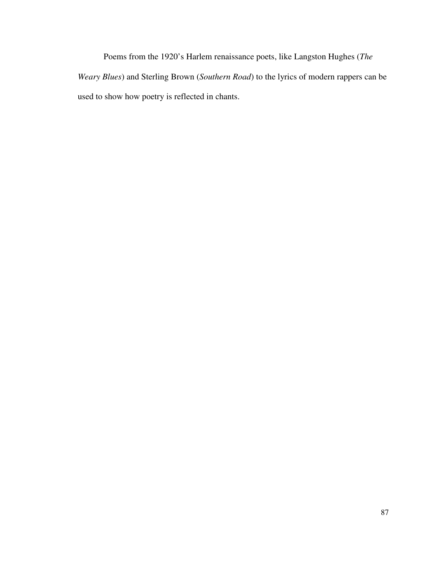Poems from the 1920's Harlem renaissance poets, like Langston Hughes (*The Weary Blues*) and Sterling Brown (*Southern Road*) to the lyrics of modern rappers can be used to show how poetry is reflected in chants.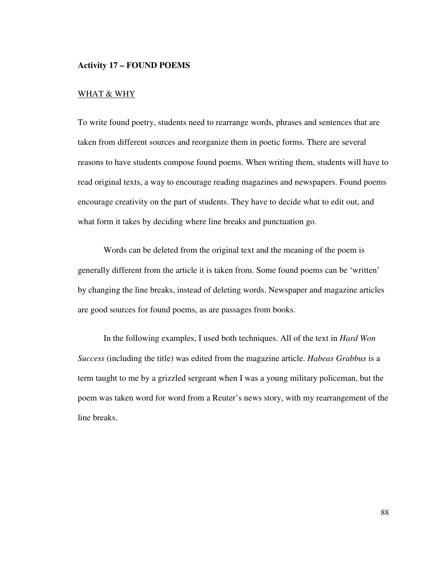#### **Activity 17 – FOUND POEMS**

### WHAT & WHY

To write found poetry, students need to rearrange words, phrases and sentences that are taken from different sources and reorganize them in poetic forms. There are several reasons to have students compose found poems. When writing them, students will have to read original texts, a way to encourage reading magazines and newspapers. Found poems encourage creativity on the part of students. They have to decide what to edit out, and what form it takes by deciding where line breaks and punctuation go.

 Words can be deleted from the original text and the meaning of the poem is generally different from the article it is taken from. Some found poems can be 'written' by changing the line breaks, instead of deleting words. Newspaper and magazine articles are good sources for found poems, as are passages from books.

 In the following examples, I used both techniques. All of the text in *Hard Won Success* (including the title) was edited from the magazine article. *Habeas Grabbus* is a term taught to me by a grizzled sergeant when I was a young military policeman, but the poem was taken word for word from a Reuter's news story, with my rearrangement of the line breaks.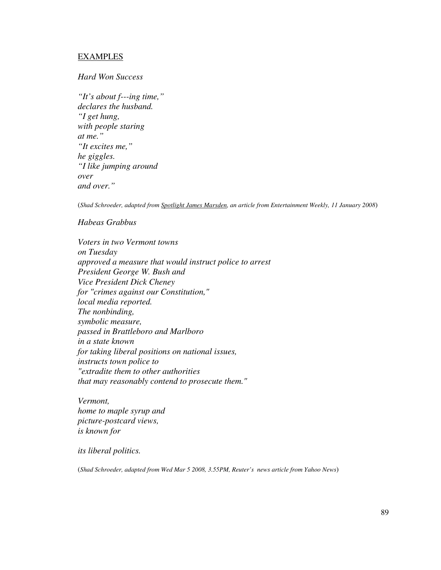#### EXAMPLES

#### *Hard Won Success*

*"It's about f---ing time," declares the husband. "I get hung, with people staring at me." "It excites me," he giggles. "I like jumping around over and over."* 

(*Shad Schroeder, adapted from Spotlight James Marsden, an article from Entertainment Weekly, 11 January 2008*)

#### *Habeas Grabbus*

*Voters in two Vermont towns on Tuesday approved a measure that would instruct police to arrest President George W. Bush and Vice President Dick Cheney for "crimes against our Constitution," local media reported. The nonbinding, symbolic measure, passed in Brattleboro and Marlboro in a state known for taking liberal positions on national issues, instructs town police to "extradite them to other authorities that may reasonably contend to prosecute them."* 

*Vermont, home to maple syrup and picture-postcard views, is known for* 

# *its liberal politics.*

(*Shad Schroeder, adapted from Wed Mar 5 2008, 3.55PM, Reuter's news article from Yahoo News*)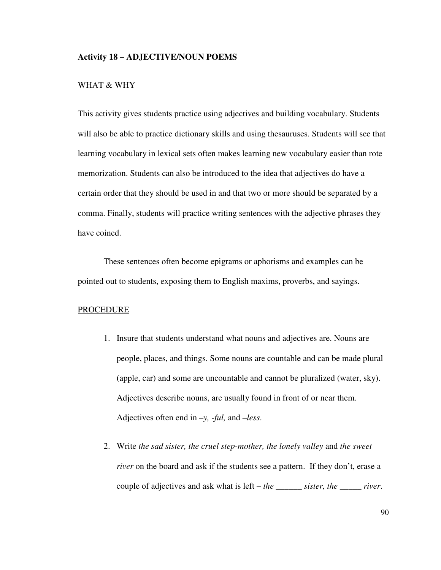#### **Activity 18 – ADJECTIVE/NOUN POEMS**

#### WHAT & WHY

This activity gives students practice using adjectives and building vocabulary. Students will also be able to practice dictionary skills and using thesauruses. Students will see that learning vocabulary in lexical sets often makes learning new vocabulary easier than rote memorization. Students can also be introduced to the idea that adjectives do have a certain order that they should be used in and that two or more should be separated by a comma. Finally, students will practice writing sentences with the adjective phrases they have coined.

These sentences often become epigrams or aphorisms and examples can be pointed out to students, exposing them to English maxims, proverbs, and sayings.

#### PROCEDURE

- 1. Insure that students understand what nouns and adjectives are. Nouns are people, places, and things. Some nouns are countable and can be made plural (apple, car) and some are uncountable and cannot be pluralized (water, sky). Adjectives describe nouns, are usually found in front of or near them. Adjectives often end in *–y, -ful,* and *–less*.
- 2. Write *the sad sister, the cruel step-mother, the lonely valley* and *the sweet river* on the board and ask if the students see a pattern. If they don't, erase a couple of adjectives and ask what is left – *the \_\_\_\_\_\_ sister, the \_\_\_\_\_ river*.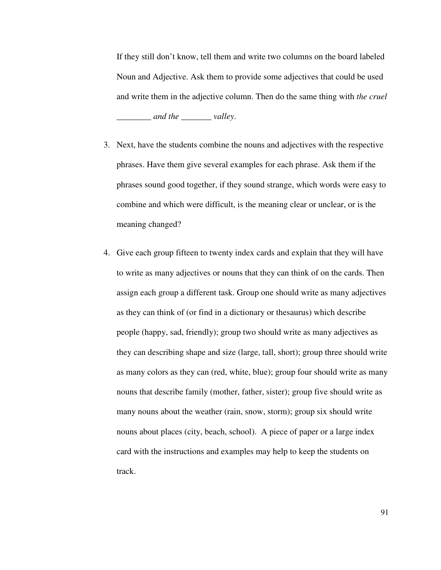If they still don't know, tell them and write two columns on the board labeled Noun and Adjective. Ask them to provide some adjectives that could be used and write them in the adjective column. Then do the same thing with *the cruel \_\_\_\_\_\_\_\_ and the \_\_\_\_\_\_\_ valley*.

- 3. Next, have the students combine the nouns and adjectives with the respective phrases. Have them give several examples for each phrase. Ask them if the phrases sound good together, if they sound strange, which words were easy to combine and which were difficult, is the meaning clear or unclear, or is the meaning changed?
- 4. Give each group fifteen to twenty index cards and explain that they will have to write as many adjectives or nouns that they can think of on the cards. Then assign each group a different task. Group one should write as many adjectives as they can think of (or find in a dictionary or thesaurus) which describe people (happy, sad, friendly); group two should write as many adjectives as they can describing shape and size (large, tall, short); group three should write as many colors as they can (red, white, blue); group four should write as many nouns that describe family (mother, father, sister); group five should write as many nouns about the weather (rain, snow, storm); group six should write nouns about places (city, beach, school). A piece of paper or a large index card with the instructions and examples may help to keep the students on track.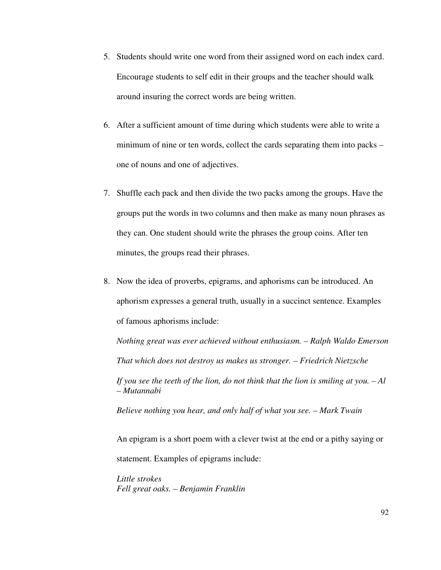- 5. Students should write one word from their assigned word on each index card. Encourage students to self edit in their groups and the teacher should walk around insuring the correct words are being written.
- 6. After a sufficient amount of time during which students were able to write a minimum of nine or ten words, collect the cards separating them into packs – one of nouns and one of adjectives.
- 7. Shuffle each pack and then divide the two packs among the groups. Have the groups put the words in two columns and then make as many noun phrases as they can. One student should write the phrases the group coins. After ten minutes, the groups read their phrases.
- 8. Now the idea of proverbs, epigrams, and aphorisms can be introduced. An aphorism expresses a general truth, usually in a succinct sentence. Examples of famous aphorisms include:

*Nothing great was ever achieved without enthusiasm. – Ralph Waldo Emerson That which does not destroy us makes us stronger. – Friedrich Nietzsche If you see the teeth of the lion, do not think that the lion is smiling at you. – Al – Mutannabi* 

*Believe nothing you hear, and only half of what you see. – Mark Twain* 

An epigram is a short poem with a clever twist at the end or a pithy saying or statement. Examples of epigrams include:

*Little strokes Fell great oaks. – Benjamin Franklin*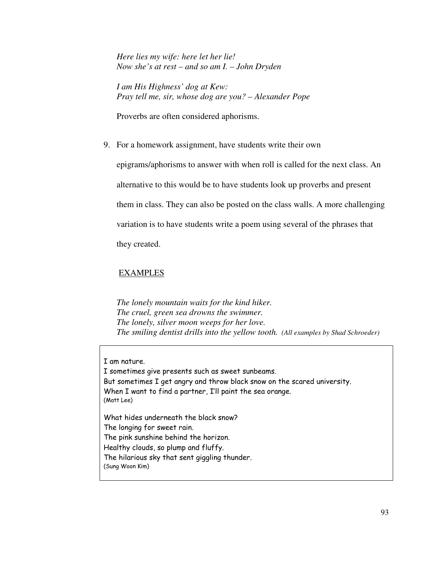*Here lies my wife: here let her lie! Now she's at rest – and so am I. – John Dryden* 

*I am His Highness' dog at Kew: Pray tell me, sir, whose dog are you? – Alexander Pope* 

Proverbs are often considered aphorisms.

9. For a homework assignment, have students write their own

epigrams/aphorisms to answer with when roll is called for the next class. An

alternative to this would be to have students look up proverbs and present

them in class. They can also be posted on the class walls. A more challenging

variation is to have students write a poem using several of the phrases that

they created.

# EXAMPLES

*The lonely mountain waits for the kind hiker. The cruel, green sea drowns the swimmer. The lonely, silver moon weeps for her love. The smiling dentist drills into the yellow tooth. (All examples by Shad Schroeder)* 

I am nature.

I sometimes give presents such as sweet sunbeams. But sometimes I get angry and throw black snow on the scared university. When I want to find a partner, I'll paint the sea orange. (Matt Lee)

What hides underneath the black snow? The longing for sweet rain. The pink sunshine behind the horizon. Healthy clouds, so plump and fluffy. The hilarious sky that sent giggling thunder. (Sung Woon Kim)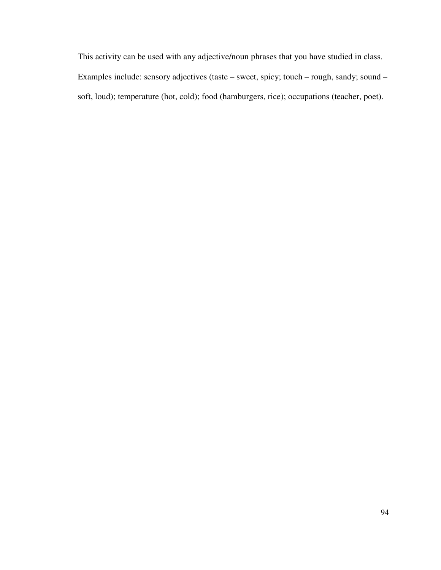This activity can be used with any adjective/noun phrases that you have studied in class. Examples include: sensory adjectives (taste – sweet, spicy; touch – rough, sandy; sound – soft, loud); temperature (hot, cold); food (hamburgers, rice); occupations (teacher, poet).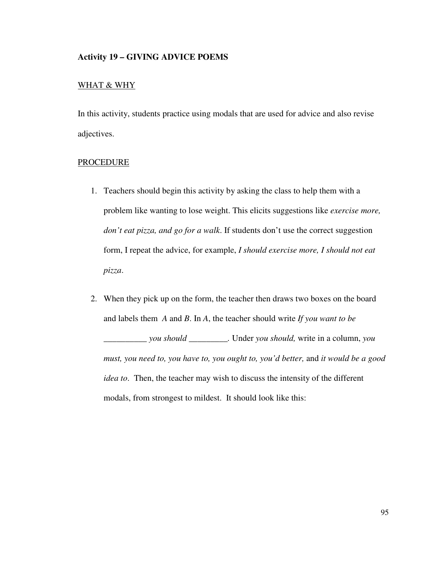# **Activity 19 – GIVING ADVICE POEMS**

## WHAT & WHY

In this activity, students practice using modals that are used for advice and also revise adjectives.

# PROCEDURE

- 1. Teachers should begin this activity by asking the class to help them with a problem like wanting to lose weight. This elicits suggestions like *exercise more, don't eat pizza, and go for a walk*. If students don't use the correct suggestion form, I repeat the advice, for example, *I should exercise more, I should not eat pizza*.
- 2. When they pick up on the form, the teacher then draws two boxes on the board and labels them *A* and *B*. In *A*, the teacher should write *If you want to be \_\_\_\_\_\_\_\_\_\_ you should \_\_\_\_\_\_\_\_\_.* Under *you should,* write in a column, *you must, you need to, you have to, you ought to, you'd better,* and *it would be a good idea to*. Then, the teacher may wish to discuss the intensity of the different modals, from strongest to mildest. It should look like this: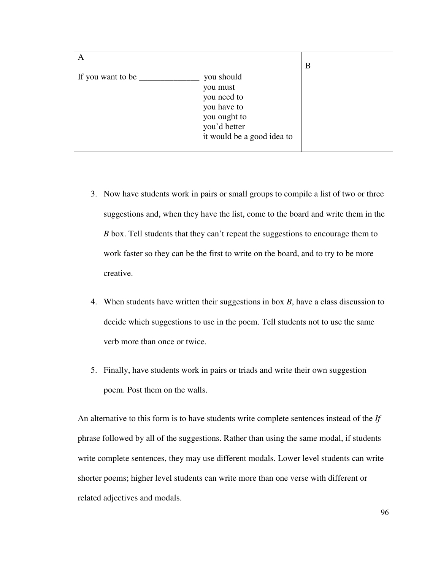| A                 |                                                                                                                    | B |
|-------------------|--------------------------------------------------------------------------------------------------------------------|---|
| If you want to be | you should<br>you must<br>you need to<br>you have to<br>you ought to<br>you'd better<br>it would be a good idea to |   |

- 3. Now have students work in pairs or small groups to compile a list of two or three suggestions and, when they have the list, come to the board and write them in the *B* box. Tell students that they can't repeat the suggestions to encourage them to work faster so they can be the first to write on the board, and to try to be more creative.
- 4. When students have written their suggestions in box *B*, have a class discussion to decide which suggestions to use in the poem. Tell students not to use the same verb more than once or twice.
- 5. Finally, have students work in pairs or triads and write their own suggestion poem. Post them on the walls.

An alternative to this form is to have students write complete sentences instead of the *If* phrase followed by all of the suggestions. Rather than using the same modal, if students write complete sentences, they may use different modals. Lower level students can write shorter poems; higher level students can write more than one verse with different or related adjectives and modals.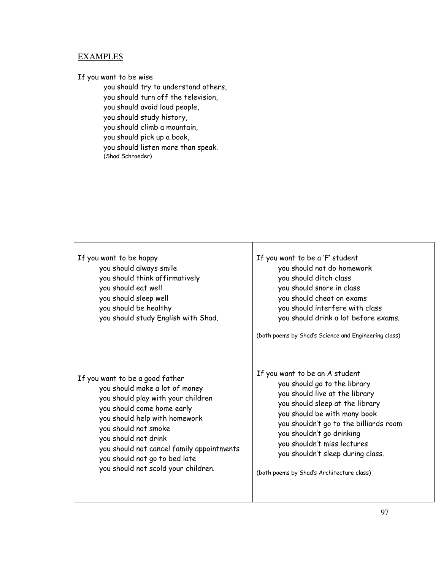# **EXAMPLES**

 $\overline{\phantom{a}}$ 

If you want to be wise

you should try to understand others,

you should turn off the television,

you should avoid loud people,

you should study history,

you should climb a mountain,

you should pick up a book,

you should listen more than speak.

(Shad Schroeder)

| If you want to be happy<br>you should always smile<br>you should think affirmatively<br>you should eat well<br>you should sleep well<br>you should be healthy<br>you should study English with Shad. | If you want to be a 'F' student<br>you should not do homework<br>you should ditch class<br>you should snore in class<br>you should cheat on exams<br>you should interfere with class<br>you should drink a lot before exams.<br>(both poems by Shad's Science and Engineering class) |
|------------------------------------------------------------------------------------------------------------------------------------------------------------------------------------------------------|--------------------------------------------------------------------------------------------------------------------------------------------------------------------------------------------------------------------------------------------------------------------------------------|
| If you want to be a good father                                                                                                                                                                      | If you want to be an A student                                                                                                                                                                                                                                                       |
| you should make a lot of money                                                                                                                                                                       | you should go to the library                                                                                                                                                                                                                                                         |
| you should play with your children                                                                                                                                                                   | you should live at the library                                                                                                                                                                                                                                                       |
| you should come home early                                                                                                                                                                           | you should sleep at the library                                                                                                                                                                                                                                                      |
| you should help with homework                                                                                                                                                                        | you should be with many book                                                                                                                                                                                                                                                         |
| you should not smoke                                                                                                                                                                                 | you shouldn't go to the billiards room                                                                                                                                                                                                                                               |
| you should not drink                                                                                                                                                                                 | you shouldn't go drinking                                                                                                                                                                                                                                                            |
| you should not cancel family appointments                                                                                                                                                            | you shouldn't miss lectures                                                                                                                                                                                                                                                          |
| you should not go to bed late                                                                                                                                                                        | you shouldn't sleep during class.                                                                                                                                                                                                                                                    |
| you should not scold your children.                                                                                                                                                                  | (both poems by Shad's Architecture class)                                                                                                                                                                                                                                            |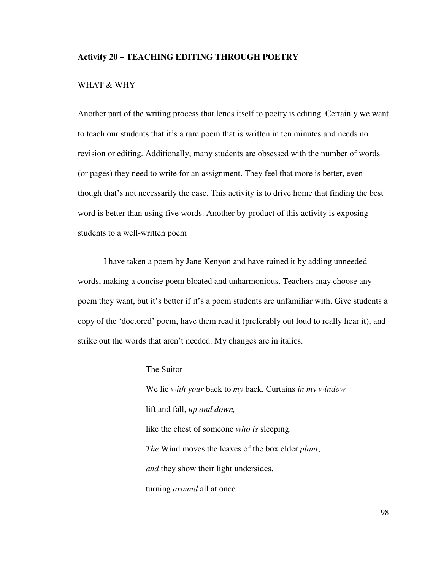# **Activity 20 – TEACHING EDITING THROUGH POETRY**

#### WHAT & WHY

Another part of the writing process that lends itself to poetry is editing. Certainly we want to teach our students that it's a rare poem that is written in ten minutes and needs no revision or editing. Additionally, many students are obsessed with the number of words (or pages) they need to write for an assignment. They feel that more is better, even though that's not necessarily the case. This activity is to drive home that finding the best word is better than using five words. Another by-product of this activity is exposing students to a well-written poem

 I have taken a poem by Jane Kenyon and have ruined it by adding unneeded words, making a concise poem bloated and unharmonious. Teachers may choose any poem they want, but it's better if it's a poem students are unfamiliar with. Give students a copy of the 'doctored' poem, have them read it (preferably out loud to really hear it), and strike out the words that aren't needed. My changes are in italics.

The Suitor

We lie *with your* back to *my* back. Curtains *in my window* lift and fall, *up and down,* like the chest of someone *who is* sleeping. *The* Wind moves the leaves of the box elder *plant*; *and* they show their light undersides, turning *around* all at once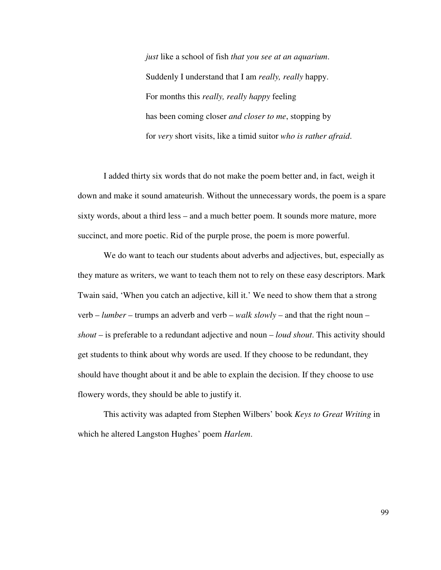*just* like a school of fish *that you see at an aquarium*. Suddenly I understand that I am *really, really* happy. For months this *really, really happy* feeling has been coming closer *and closer to me*, stopping by for *very* short visits, like a timid suitor *who is rather afraid*.

 I added thirty six words that do not make the poem better and, in fact, weigh it down and make it sound amateurish. Without the unnecessary words, the poem is a spare sixty words, about a third less – and a much better poem. It sounds more mature, more succinct, and more poetic. Rid of the purple prose, the poem is more powerful.

 We do want to teach our students about adverbs and adjectives, but, especially as they mature as writers, we want to teach them not to rely on these easy descriptors. Mark Twain said, 'When you catch an adjective, kill it.' We need to show them that a strong verb – *lumber* – trumps an adverb and verb – *walk slowly* – and that the right noun – *shout* – is preferable to a redundant adjective and noun – *loud shout*. This activity should get students to think about why words are used. If they choose to be redundant, they should have thought about it and be able to explain the decision. If they choose to use flowery words, they should be able to justify it.

 This activity was adapted from Stephen Wilbers' book *Keys to Great Writing* in which he altered Langston Hughes' poem *Harlem*.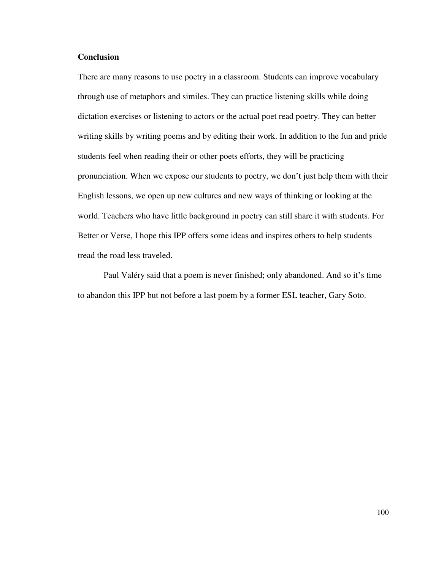# **Conclusion**

There are many reasons to use poetry in a classroom. Students can improve vocabulary through use of metaphors and similes. They can practice listening skills while doing dictation exercises or listening to actors or the actual poet read poetry. They can better writing skills by writing poems and by editing their work. In addition to the fun and pride students feel when reading their or other poets efforts, they will be practicing pronunciation. When we expose our students to poetry, we don't just help them with their English lessons, we open up new cultures and new ways of thinking or looking at the world. Teachers who have little background in poetry can still share it with students. For Better or Verse, I hope this IPP offers some ideas and inspires others to help students tread the road less traveled.

Paul Valéry said that a poem is never finished; only abandoned. And so it's time to abandon this IPP but not before a last poem by a former ESL teacher, Gary Soto.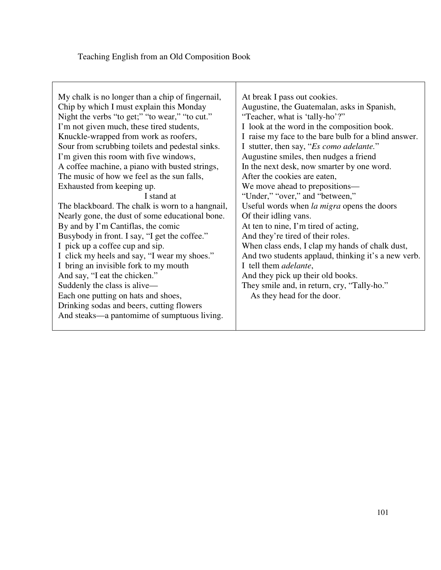My chalk is no longer than a chip of fingernail, Chip by which I must explain this Monday Night the verbs "to get;" "to wear," "to cut." I'm not given much, these tired students, Knuckle-wrapped from work as roofers, Sour from scrubbing toilets and pedestal sinks. I'm given this room with five windows, A coffee machine, a piano with busted strings, The music of how we feel as the sun falls, Exhausted from keeping up. I stand at The blackboard. The chalk is worn to a hangnail, Nearly gone, the dust of some educational bone. By and by I'm Cantiflas, the comic Busybody in front. I say, "I get the coffee." I pick up a coffee cup and sip. I click my heels and say, "I wear my shoes." I bring an invisible fork to my mouth And say, "I eat the chicken." Suddenly the class is alive— Each one putting on hats and shoes, Drinking sodas and beers, cutting flowers And steaks—a pantomime of sumptuous living.

At break I pass out cookies. Augustine, the Guatemalan, asks in Spanish, "Teacher, what is 'tally-ho'?" I look at the word in the composition book. I raise my face to the bare bulb for a blind answer. I stutter, then say, "*Es como adelante.*" Augustine smiles, then nudges a friend In the next desk, now smarter by one word. After the cookies are eaten, We move ahead to prepositions— "Under," "over," and "between," Useful words when *la migra* opens the doors Of their idling vans. At ten to nine, I'm tired of acting, And they're tired of their roles. When class ends, I clap my hands of chalk dust, And two students applaud, thinking it's a new verb. I tell them *adelante*, And they pick up their old books. They smile and, in return, cry, "Tally-ho." As they head for the door.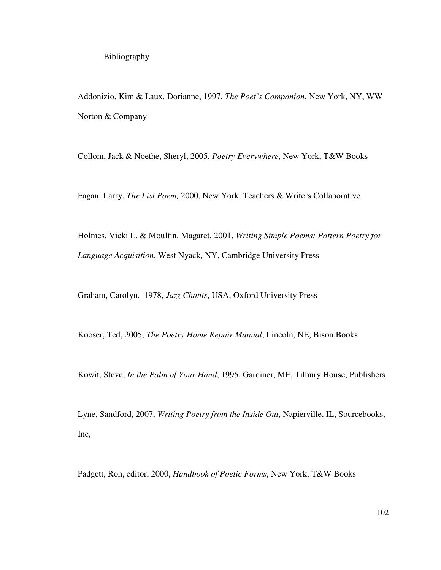## Bibliography

Addonizio, Kim & Laux, Dorianne, 1997, *The Poet's Companion*, New York, NY, WW Norton & Company

Collom, Jack & Noethe, Sheryl, 2005, *Poetry Everywhere*, New York, T&W Books

Fagan, Larry, *The List Poem,* 2000, New York, Teachers & Writers Collaborative

Holmes, Vicki L. & Moultin, Magaret, 2001, *Writing Simple Poems: Pattern Poetry for Language Acquisition*, West Nyack, NY, Cambridge University Press

Graham, Carolyn. 1978, *Jazz Chants*, USA, Oxford University Press

Kooser, Ted, 2005, *The Poetry Home Repair Manual*, Lincoln, NE, Bison Books

Kowit, Steve, *In the Palm of Your Hand*, 1995, Gardiner, ME, Tilbury House, Publishers

Lyne, Sandford, 2007, *Writing Poetry from the Inside Out*, Napierville, IL, Sourcebooks, Inc,

Padgett, Ron, editor, 2000, *Handbook of Poetic Forms*, New York, T&W Books